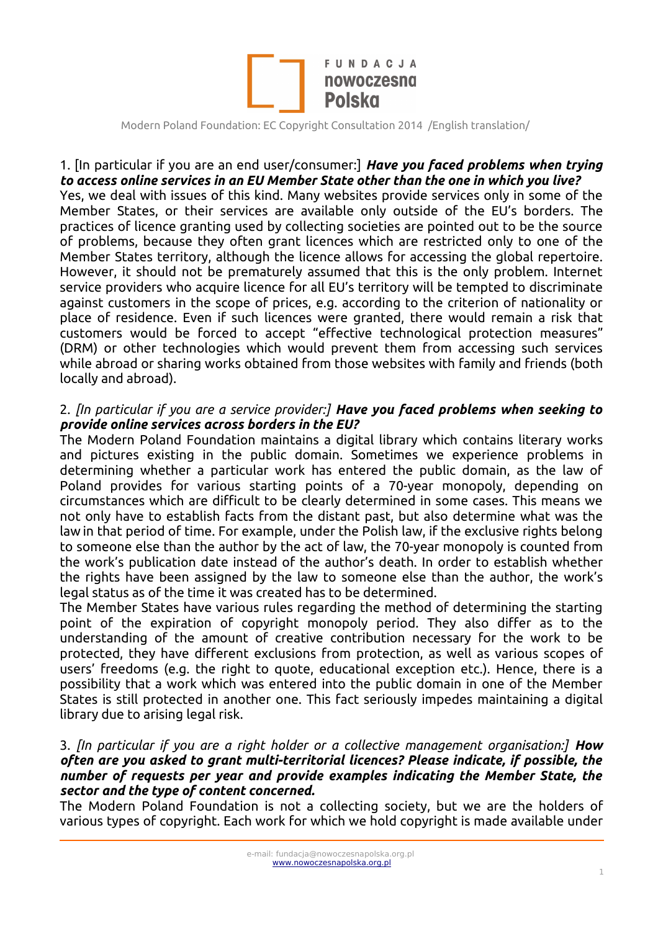

#### 1. [In particular if you are an end user/consumer:] *Have you faced problems when trying to access online services in an EU Member State other than the one in which you live?*

Yes, we deal with issues of this kind. Many websites provide services only in some of the Member States, or their services are available only outside of the EU's borders. The practices of licence granting used by collecting societies are pointed out to be the source of problems, because they often grant licences which are restricted only to one of the Member States territory, although the licence allows for accessing the global repertoire. However, it should not be prematurely assumed that this is the only problem. Internet service providers who acquire licence for all EU's territory will be tempted to discriminate against customers in the scope of prices, e.g. according to the criterion of nationality or place of residence. Even if such licences were granted, there would remain a risk that customers would be forced to accept "effective technological protection measures" (DRM) or other technologies which would prevent them from accessing such services while abroad or sharing works obtained from those websites with family and friends (both locally and abroad).

### 2. *[In particular if you are a service provider:] Have you faced problems when seeking to provide online services across borders in the EU?*

The Modern Poland Foundation maintains a digital library which contains literary works and pictures existing in the public domain. Sometimes we experience problems in determining whether a particular work has entered the public domain, as the law of Poland provides for various starting points of a 70-year monopoly, depending on circumstances which are difficult to be clearly determined in some cases. This means we not only have to establish facts from the distant past, but also determine what was the law in that period of time. For example, under the Polish law, if the exclusive rights belong to someone else than the author by the act of law, the 70-year monopoly is counted from the work's publication date instead of the author's death. In order to establish whether the rights have been assigned by the law to someone else than the author, the work's legal status as of the time it was created has to be determined.

The Member States have various rules regarding the method of determining the starting point of the expiration of copyright monopoly period. They also differ as to the understanding of the amount of creative contribution necessary for the work to be protected, they have different exclusions from protection, as well as various scopes of users' freedoms (e.g. the right to quote, educational exception etc.). Hence, there is a possibility that a work which was entered into the public domain in one of the Member States is still protected in another one. This fact seriously impedes maintaining a digital library due to arising legal risk.

#### 3. *[In particular if you are a right holder or a collective management organisation:] How often are you asked to grant multi-territorial licences? Please indicate, if possible, the number of requests per year and provide examples indicating the Member State, the sector and the type of content concerned.*

The Modern Poland Foundation is not a collecting society, but we are the holders of various types of copyright. Each work for which we hold copyright is made available under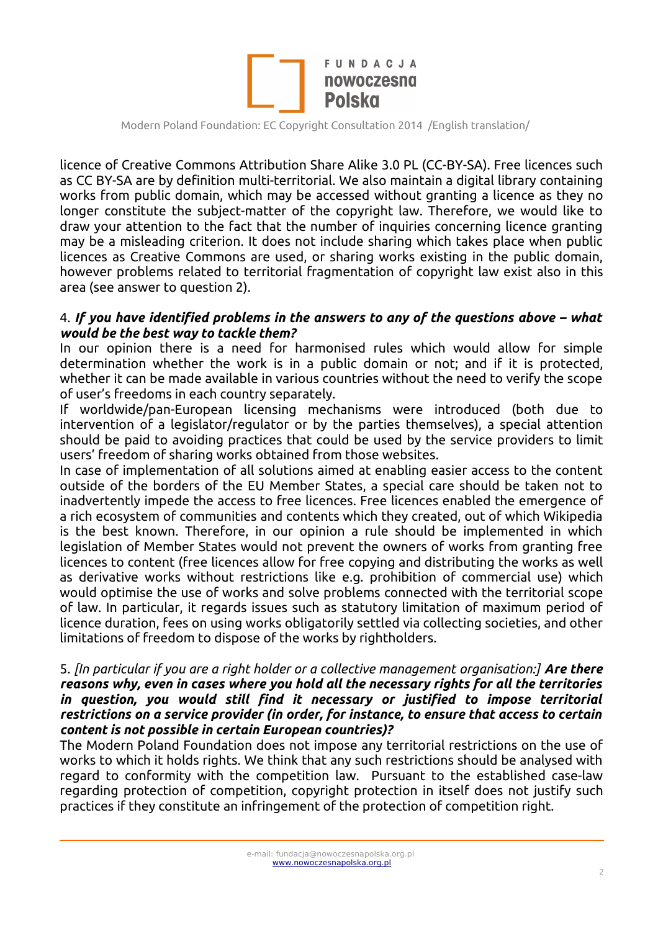

licence of Creative Commons Attribution Share Alike 3.0 PL (CC-BY-SA). Free licences such as CC BY-SA are by definition multi-territorial. We also maintain a digital library containing works from public domain, which may be accessed without granting a licence as they no longer constitute the subject-matter of the copyright law. Therefore, we would like to draw your attention to the fact that the number of inquiries concerning licence granting may be a misleading criterion. It does not include sharing which takes place when public licences as Creative Commons are used, or sharing works existing in the public domain, however problems related to territorial fragmentation of copyright law exist also in this area (see answer to question 2).

#### 4. *If you have identified problems in the answers to any of the questions above – what would be the best way to tackle them?*

In our opinion there is a need for harmonised rules which would allow for simple determination whether the work is in a public domain or not; and if it is protected, whether it can be made available in various countries without the need to verify the scope of user's freedoms in each country separately.

If worldwide/pan-European licensing mechanisms were introduced (both due to intervention of a legislator/regulator or by the parties themselves), a special attention should be paid to avoiding practices that could be used by the service providers to limit users' freedom of sharing works obtained from those websites.

In case of implementation of all solutions aimed at enabling easier access to the content outside of the borders of the EU Member States, a special care should be taken not to inadvertently impede the access to free licences. Free licences enabled the emergence of a rich ecosystem of communities and contents which they created, out of which Wikipedia is the best known. Therefore, in our opinion a rule should be implemented in which legislation of Member States would not prevent the owners of works from granting free licences to content (free licences allow for free copying and distributing the works as well as derivative works without restrictions like e.g. prohibition of commercial use) which would optimise the use of works and solve problems connected with the territorial scope of law. In particular, it regards issues such as statutory limitation of maximum period of licence duration, fees on using works obligatorily settled via collecting societies, and other limitations of freedom to dispose of the works by rightholders.

#### 5. *[In particular if you are a right holder or a collective management organisation:] Are there reasons why, even in cases where you hold all the necessary rights for all the territories in question, you would still find it necessary or justified to impose territorial restrictions on a service provider (in order, for instance, to ensure that access to certain content is not possible in certain European countries)?*

The Modern Poland Foundation does not impose any territorial restrictions on the use of works to which it holds rights. We think that any such restrictions should be analysed with regard to conformity with the competition law. Pursuant to the established case-law regarding protection of competition, copyright protection in itself does not justify such practices if they constitute an infringement of the protection of competition right.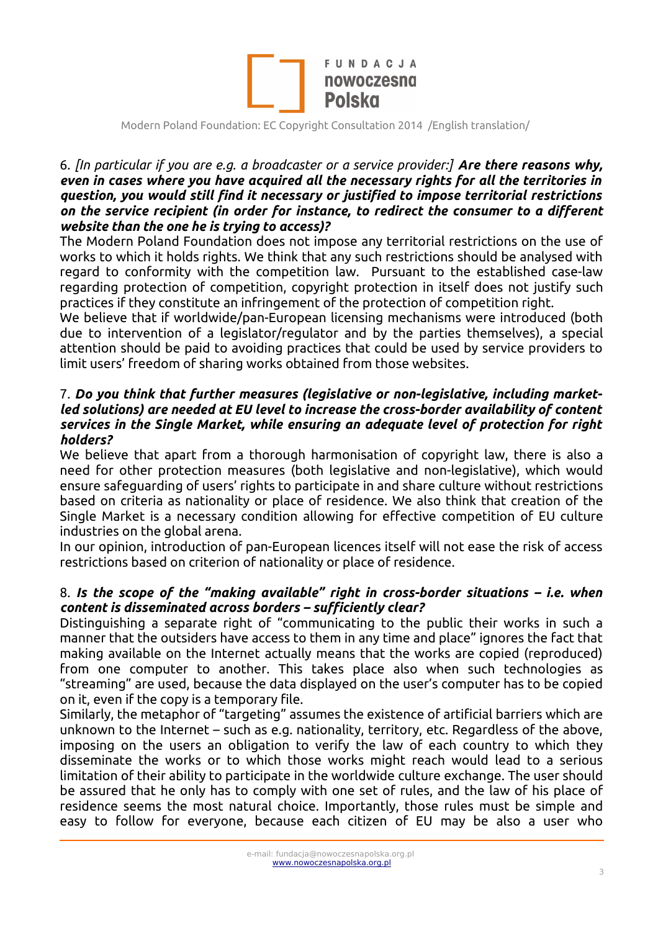

#### 6. *[In particular if you are e.g. a broadcaster or a service provider:] Are there reasons why, even in cases where you have acquired all the necessary rights for all the territories in question, you would still find it necessary or justified to impose territorial restrictions on the service recipient (in order for instance, to redirect the consumer to a different website than the one he is trying to access)?*

The Modern Poland Foundation does not impose any territorial restrictions on the use of works to which it holds rights. We think that any such restrictions should be analysed with regard to conformity with the competition law. Pursuant to the established case-law regarding protection of competition, copyright protection in itself does not justify such practices if they constitute an infringement of the protection of competition right.

We believe that if worldwide/pan-European licensing mechanisms were introduced (both due to intervention of a legislator/regulator and by the parties themselves), a special attention should be paid to avoiding practices that could be used by service providers to limit users' freedom of sharing works obtained from those websites.

#### 7. *Do you think that further measures (legislative or non-legislative, including marketled solutions) are needed at EU level to increase the cross-border availability of content services in the Single Market, while ensuring an adequate level of protection for right holders?*

We believe that apart from a thorough harmonisation of copyright law, there is also a need for other protection measures (both legislative and non-legislative), which would ensure safeguarding of users' rights to participate in and share culture without restrictions based on criteria as nationality or place of residence. We also think that creation of the Single Market is a necessary condition allowing for effective competition of EU culture industries on the global arena.

In our opinion, introduction of pan-European licences itself will not ease the risk of access restrictions based on criterion of nationality or place of residence.

### 8. *Is the scope of the "making available" right in cross-border situations – i.e. when content is disseminated across borders – sufficiently clear?*

Distinguishing a separate right of "communicating to the public their works in such a manner that the outsiders have access to them in any time and place" ignores the fact that making available on the Internet actually means that the works are copied (reproduced) from one computer to another. This takes place also when such technologies as "streaming" are used, because the data displayed on the user's computer has to be copied on it, even if the copy is a temporary file.

Similarly, the metaphor of "targeting" assumes the existence of artificial barriers which are unknown to the Internet – such as e.g. nationality, territory, etc. Regardless of the above, imposing on the users an obligation to verify the law of each country to which they disseminate the works or to which those works might reach would lead to a serious limitation of their ability to participate in the worldwide culture exchange. The user should be assured that he only has to comply with one set of rules, and the law of his place of residence seems the most natural choice. Importantly, those rules must be simple and easy to follow for everyone, because each citizen of EU may be also a user who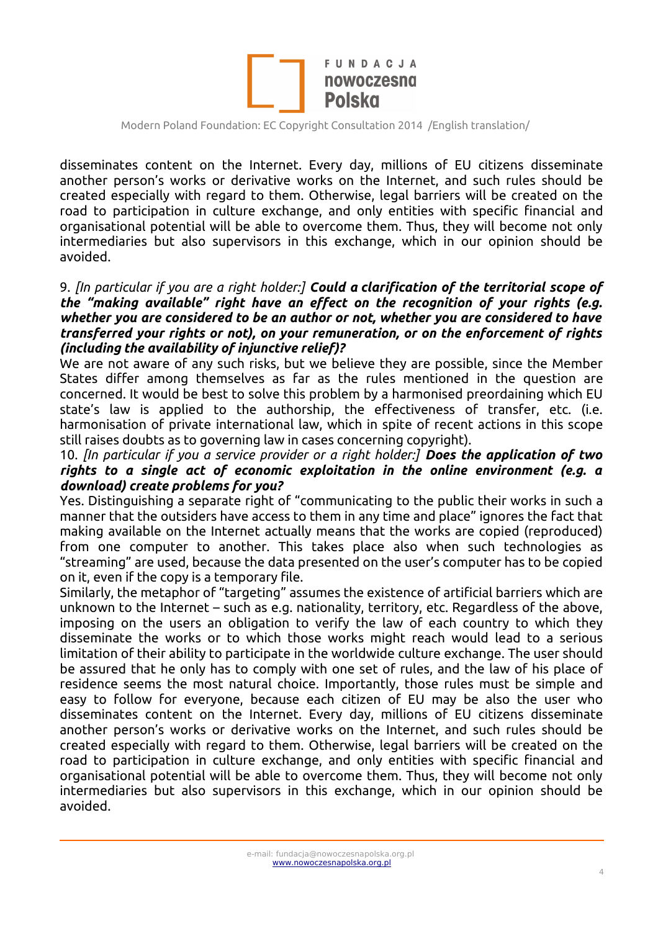

disseminates content on the Internet. Every day, millions of EU citizens disseminate another person's works or derivative works on the Internet, and such rules should be created especially with regard to them. Otherwise, legal barriers will be created on the road to participation in culture exchange, and only entities with specific financial and organisational potential will be able to overcome them. Thus, they will become not only intermediaries but also supervisors in this exchange, which in our opinion should be avoided.

#### 9. *[In particular if you are a right holder:] Could a clarification of the territorial scope of the "making available" right have an effect on the recognition of your rights (e.g. whether you are considered to be an author or not, whether you are considered to have transferred your rights or not), on your remuneration, or on the enforcement of rights (including the availability of injunctive relief)?*

We are not aware of any such risks, but we believe they are possible, since the Member States differ among themselves as far as the rules mentioned in the question are concerned. It would be best to solve this problem by a harmonised preordaining which EU state's law is applied to the authorship, the effectiveness of transfer, etc. (i.e. harmonisation of private international law, which in spite of recent actions in this scope still raises doubts as to governing law in cases concerning copyright).

#### 10. *[In particular if you a service provider or a right holder:] Does the application of two rights to a single act of economic exploitation in the online environment (e.g. a download) create problems for you?*

Yes. Distinguishing a separate right of "communicating to the public their works in such a manner that the outsiders have access to them in any time and place" ignores the fact that making available on the Internet actually means that the works are copied (reproduced) from one computer to another. This takes place also when such technologies as "streaming" are used, because the data presented on the user's computer has to be copied on it, even if the copy is a temporary file.

Similarly, the metaphor of "targeting" assumes the existence of artificial barriers which are unknown to the Internet – such as e.g. nationality, territory, etc. Regardless of the above, imposing on the users an obligation to verify the law of each country to which they disseminate the works or to which those works might reach would lead to a serious limitation of their ability to participate in the worldwide culture exchange. The user should be assured that he only has to comply with one set of rules, and the law of his place of residence seems the most natural choice. Importantly, those rules must be simple and easy to follow for everyone, because each citizen of EU may be also the user who disseminates content on the Internet. Every day, millions of EU citizens disseminate another person's works or derivative works on the Internet, and such rules should be created especially with regard to them. Otherwise, legal barriers will be created on the road to participation in culture exchange, and only entities with specific financial and organisational potential will be able to overcome them. Thus, they will become not only intermediaries but also supervisors in this exchange, which in our opinion should be avoided.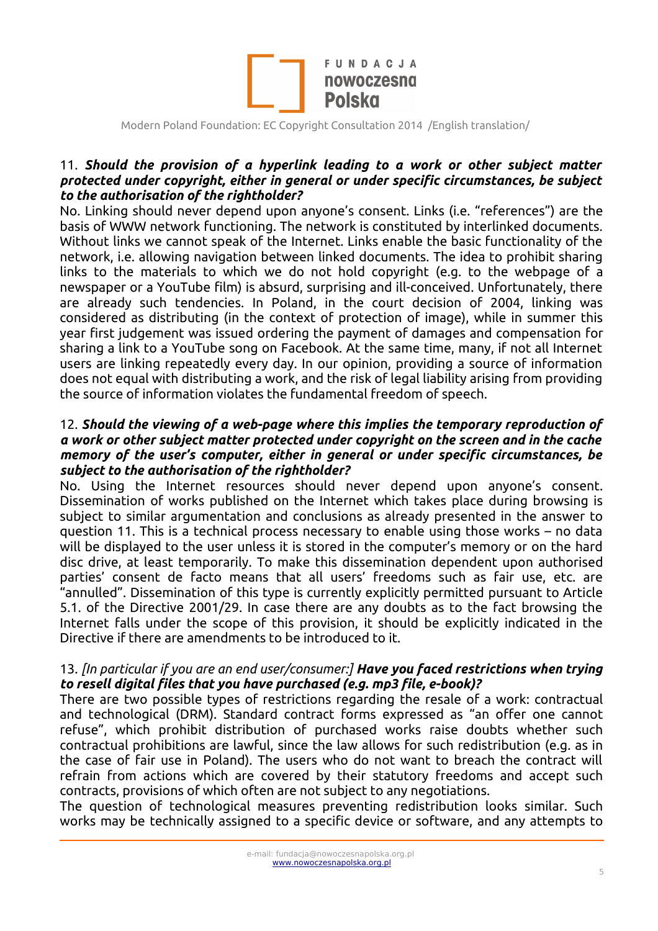

### 11. *Should the provision of a hyperlink leading to a work or other subject matter protected under copyright, either in general or under specific circumstances, be subject to the authorisation of the rightholder?*

No. Linking should never depend upon anyone's consent. Links (i.e. "references") are the basis of WWW network functioning. The network is constituted by interlinked documents. Without links we cannot speak of the Internet. Links enable the basic functionality of the network, i.e. allowing navigation between linked documents. The idea to prohibit sharing links to the materials to which we do not hold copyright (e.g. to the webpage of a newspaper or a YouTube film) is absurd, surprising and ill-conceived. Unfortunately, there are already such tendencies. In Poland, in the court decision of 2004, linking was considered as distributing (in the context of protection of image), while in summer this year first judgement was issued ordering the payment of damages and compensation for sharing a link to a YouTube song on Facebook. At the same time, many, if not all Internet users are linking repeatedly every day. In our opinion, providing a source of information does not equal with distributing a work, and the risk of legal liability arising from providing the source of information violates the fundamental freedom of speech.

#### 12. *Should the viewing of a web-page where this implies the temporary reproduction of a work or other subject matter protected under copyright on the screen and in the cache memory of the user's computer, either in general or under specific circumstances, be subject to the authorisation of the rightholder?*

No. Using the Internet resources should never depend upon anyone's consent. Dissemination of works published on the Internet which takes place during browsing is subject to similar argumentation and conclusions as already presented in the answer to question 11. This is a technical process necessary to enable using those works – no data will be displayed to the user unless it is stored in the computer's memory or on the hard disc drive, at least temporarily. To make this dissemination dependent upon authorised parties' consent de facto means that all users' freedoms such as fair use, etc. are "annulled". Dissemination of this type is currently explicitly permitted pursuant to Article 5.1. of the Directive 2001/29. In case there are any doubts as to the fact browsing the Internet falls under the scope of this provision, it should be explicitly indicated in the Directive if there are amendments to be introduced to it.

### 13. *[In particular if you are an end user/consumer:] Have you faced restrictions when trying to resell digital files that you have purchased (e.g. mp3 file, e-book)?*

There are two possible types of restrictions regarding the resale of a work: contractual and technological (DRM). Standard contract forms expressed as "an offer one cannot refuse", which prohibit distribution of purchased works raise doubts whether such contractual prohibitions are lawful, since the law allows for such redistribution (e.g. as in the case of fair use in Poland). The users who do not want to breach the contract will refrain from actions which are covered by their statutory freedoms and accept such contracts, provisions of which often are not subject to any negotiations.

The question of technological measures preventing redistribution looks similar. Such works may be technically assigned to a specific device or software, and any attempts to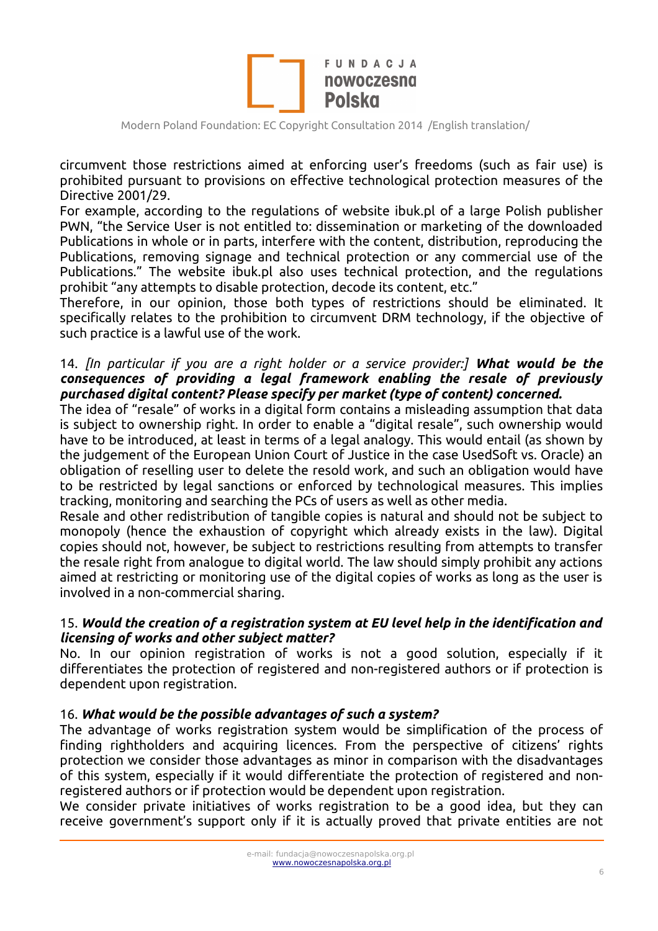

circumvent those restrictions aimed at enforcing user's freedoms (such as fair use) is prohibited pursuant to provisions on effective technological protection measures of the Directive 2001/29.

For example, according to the regulations of website ibuk.pl of a large Polish publisher PWN, "the Service User is not entitled to: dissemination or marketing of the downloaded Publications in whole or in parts, interfere with the content, distribution, reproducing the Publications, removing signage and technical protection or any commercial use of the Publications." The website ibuk.pl also uses technical protection, and the regulations prohibit "any attempts to disable protection, decode its content, etc."

Therefore, in our opinion, those both types of restrictions should be eliminated. It specifically relates to the prohibition to circumvent DRM technology, if the objective of such practice is a lawful use of the work.

### 14. *[In particular if you are a right holder or a service provider:] What would be the consequences of providing a legal framework enabling the resale of previously purchased digital content? Please specify per market (type of content) concerned.*

The idea of "resale" of works in a digital form contains a misleading assumption that data is subject to ownership right. In order to enable a "digital resale", such ownership would have to be introduced, at least in terms of a legal analogy. This would entail (as shown by the judgement of the European Union Court of Justice in the case UsedSoft vs. Oracle) an obligation of reselling user to delete the resold work, and such an obligation would have to be restricted by legal sanctions or enforced by technological measures. This implies tracking, monitoring and searching the PCs of users as well as other media.

Resale and other redistribution of tangible copies is natural and should not be subject to monopoly (hence the exhaustion of copyright which already exists in the law). Digital copies should not, however, be subject to restrictions resulting from attempts to transfer the resale right from analogue to digital world. The law should simply prohibit any actions aimed at restricting or monitoring use of the digital copies of works as long as the user is involved in a non-commercial sharing.

#### 15. *Would the creation of a registration system at EU level help in the identification and licensing of works and other subject matter?*

No. In our opinion registration of works is not a good solution, especially if it differentiates the protection of registered and non-registered authors or if protection is dependent upon registration.

#### 16. *What would be the possible advantages of such a system?*

The advantage of works registration system would be simplification of the process of finding rightholders and acquiring licences. From the perspective of citizens' rights protection we consider those advantages as minor in comparison with the disadvantages of this system, especially if it would differentiate the protection of registered and nonregistered authors or if protection would be dependent upon registration.

We consider private initiatives of works registration to be a good idea, but they can receive government's support only if it is actually proved that private entities are not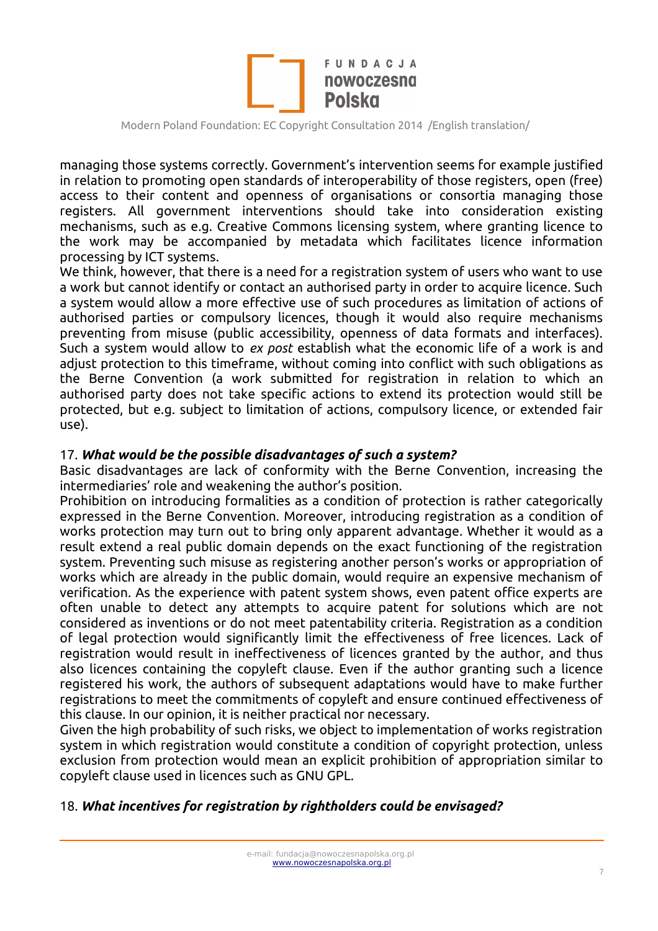

managing those systems correctly. Government's intervention seems for example justified in relation to promoting open standards of interoperability of those registers, open (free) access to their content and openness of organisations or consortia managing those registers. All government interventions should take into consideration existing mechanisms, such as e.g. Creative Commons licensing system, where granting licence to the work may be accompanied by metadata which facilitates licence information processing by ICT systems.

We think, however, that there is a need for a registration system of users who want to use a work but cannot identify or contact an authorised party in order to acquire licence. Such a system would allow a more effective use of such procedures as limitation of actions of authorised parties or compulsory licences, though it would also require mechanisms preventing from misuse (public accessibility, openness of data formats and interfaces). Such a system would allow to *ex post* establish what the economic life of a work is and adjust protection to this timeframe, without coming into conflict with such obligations as the Berne Convention (a work submitted for registration in relation to which an authorised party does not take specific actions to extend its protection would still be protected, but e.g. subject to limitation of actions, compulsory licence, or extended fair use).

#### 17. *What would be the possible disadvantages of such a system?*

Basic disadvantages are lack of conformity with the Berne Convention, increasing the intermediaries' role and weakening the author's position.

Prohibition on introducing formalities as a condition of protection is rather categorically expressed in the Berne Convention. Moreover, introducing registration as a condition of works protection may turn out to bring only apparent advantage. Whether it would as a result extend a real public domain depends on the exact functioning of the registration system. Preventing such misuse as registering another person's works or appropriation of works which are already in the public domain, would require an expensive mechanism of verification. As the experience with patent system shows, even patent office experts are often unable to detect any attempts to acquire patent for solutions which are not considered as inventions or do not meet patentability criteria. Registration as a condition of legal protection would significantly limit the effectiveness of free licences. Lack of registration would result in ineffectiveness of licences granted by the author, and thus also licences containing the copyleft clause. Even if the author granting such a licence registered his work, the authors of subsequent adaptations would have to make further registrations to meet the commitments of copyleft and ensure continued effectiveness of this clause. In our opinion, it is neither practical nor necessary.

Given the high probability of such risks, we object to implementation of works registration system in which registration would constitute a condition of copyright protection, unless exclusion from protection would mean an explicit prohibition of appropriation similar to copyleft clause used in licences such as GNU GPL.

#### 18. *What incentives for registration by rightholders could be envisaged?*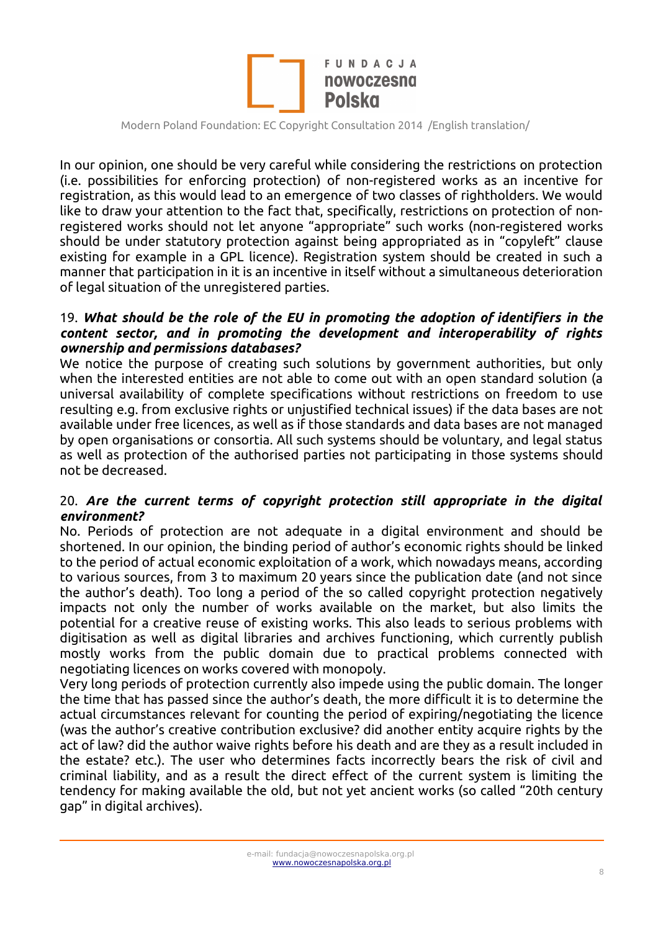

In our opinion, one should be very careful while considering the restrictions on protection (i.e. possibilities for enforcing protection) of non-registered works as an incentive for registration, as this would lead to an emergence of two classes of rightholders. We would like to draw your attention to the fact that, specifically, restrictions on protection of nonregistered works should not let anyone "appropriate" such works (non-registered works should be under statutory protection against being appropriated as in "copyleft" clause existing for example in a GPL licence). Registration system should be created in such a manner that participation in it is an incentive in itself without a simultaneous deterioration of legal situation of the unregistered parties.

#### 19. *What should be the role of the EU in promoting the adoption of identifiers in the content sector, and in promoting the development and interoperability of rights ownership and permissions databases?*

We notice the purpose of creating such solutions by government authorities, but only when the interested entities are not able to come out with an open standard solution (a universal availability of complete specifications without restrictions on freedom to use resulting e.g. from exclusive rights or unjustified technical issues) if the data bases are not available under free licences, as well as if those standards and data bases are not managed by open organisations or consortia. All such systems should be voluntary, and legal status as well as protection of the authorised parties not participating in those systems should not be decreased.

### 20. *Are the current terms of copyright protection still appropriate in the digital environment?*

No. Periods of protection are not adequate in a digital environment and should be shortened. In our opinion, the binding period of author's economic rights should be linked to the period of actual economic exploitation of a work, which nowadays means, according to various sources, from 3 to maximum 20 years since the publication date (and not since the author's death). Too long a period of the so called copyright protection negatively impacts not only the number of works available on the market, but also limits the potential for a creative reuse of existing works. This also leads to serious problems with digitisation as well as digital libraries and archives functioning, which currently publish mostly works from the public domain due to practical problems connected with negotiating licences on works covered with monopoly.

Very long periods of protection currently also impede using the public domain. The longer the time that has passed since the author's death, the more difficult it is to determine the actual circumstances relevant for counting the period of expiring/negotiating the licence (was the author's creative contribution exclusive? did another entity acquire rights by the act of law? did the author waive rights before his death and are they as a result included in the estate? etc.). The user who determines facts incorrectly bears the risk of civil and criminal liability, and as a result the direct effect of the current system is limiting the tendency for making available the old, but not yet ancient works (so called "20th century gap" in digital archives).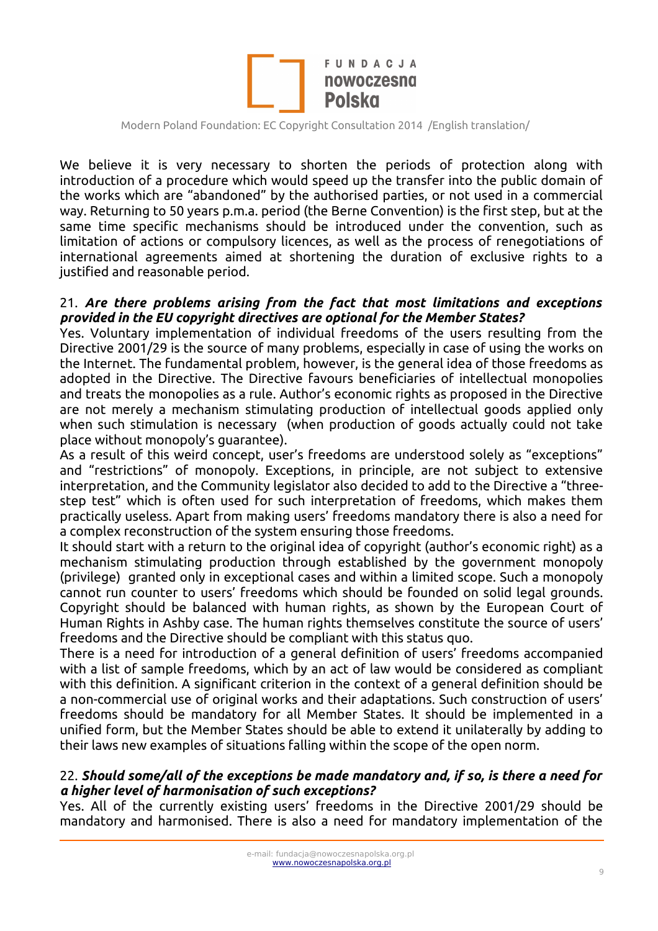

We believe it is very necessary to shorten the periods of protection along with introduction of a procedure which would speed up the transfer into the public domain of the works which are "abandoned" by the authorised parties, or not used in a commercial way. Returning to 50 years p.m.a. period (the Berne Convention) is the first step, but at the same time specific mechanisms should be introduced under the convention, such as limitation of actions or compulsory licences, as well as the process of renegotiations of international agreements aimed at shortening the duration of exclusive rights to a justified and reasonable period.

#### 21. *Are there problems arising from the fact that most limitations and exceptions provided in the EU copyright directives are optional for the Member States?*

Yes. Voluntary implementation of individual freedoms of the users resulting from the Directive 2001/29 is the source of many problems, especially in case of using the works on the Internet. The fundamental problem, however, is the general idea of those freedoms as adopted in the Directive. The Directive favours beneficiaries of intellectual monopolies and treats the monopolies as a rule. Author's economic rights as proposed in the Directive are not merely a mechanism stimulating production of intellectual goods applied only when such stimulation is necessary (when production of goods actually could not take place without monopoly's guarantee).

As a result of this weird concept, user's freedoms are understood solely as "exceptions" and "restrictions" of monopoly. Exceptions, in principle, are not subject to extensive interpretation, and the Community legislator also decided to add to the Directive a "threestep test" which is often used for such interpretation of freedoms, which makes them practically useless. Apart from making users' freedoms mandatory there is also a need for a complex reconstruction of the system ensuring those freedoms.

It should start with a return to the original idea of copyright (author's economic right) as a mechanism stimulating production through established by the government monopoly (privilege) granted only in exceptional cases and within a limited scope. Such a monopoly cannot run counter to users' freedoms which should be founded on solid legal grounds. Copyright should be balanced with human rights, as shown by the European Court of Human Rights in Ashby case. The human rights themselves constitute the source of users' freedoms and the Directive should be compliant with this status quo.

There is a need for introduction of a general definition of users' freedoms accompanied with a list of sample freedoms, which by an act of law would be considered as compliant with this definition. A significant criterion in the context of a general definition should be a non-commercial use of original works and their adaptations. Such construction of users' freedoms should be mandatory for all Member States. It should be implemented in a unified form, but the Member States should be able to extend it unilaterally by adding to their laws new examples of situations falling within the scope of the open norm.

#### 22. *Should some/all of the exceptions be made mandatory and, if so, is there a need for a higher level of harmonisation of such exceptions?*

Yes. All of the currently existing users' freedoms in the Directive 2001/29 should be mandatory and harmonised. There is also a need for mandatory implementation of the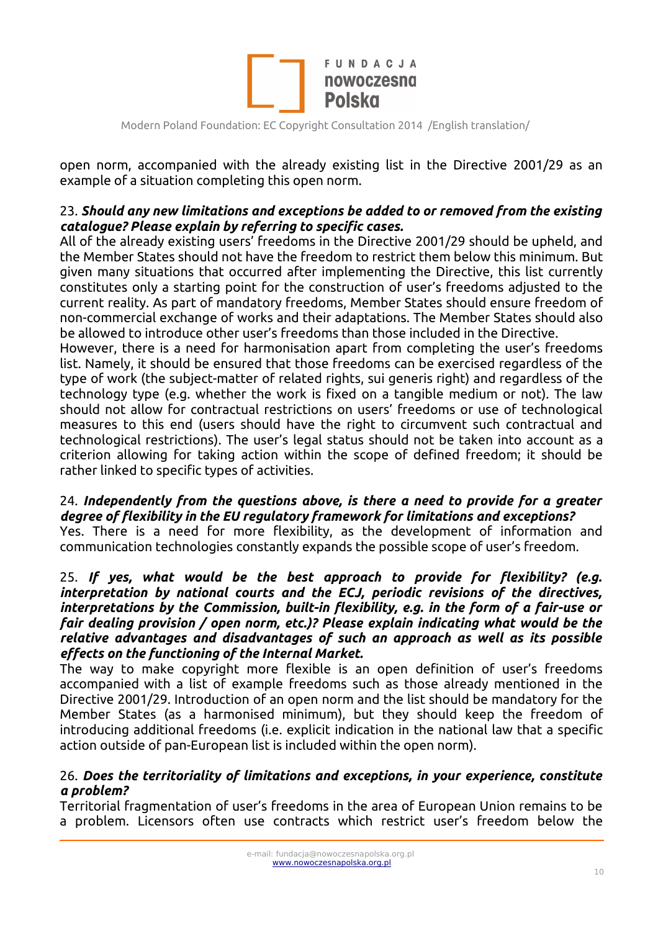

open norm, accompanied with the already existing list in the Directive 2001/29 as an example of a situation completing this open norm.

### 23. *Should any new limitations and exceptions be added to or removed from the existing catalogue? Please explain by referring to specific cases.*

All of the already existing users' freedoms in the Directive 2001/29 should be upheld, and the Member States should not have the freedom to restrict them below this minimum. But given many situations that occurred after implementing the Directive, this list currently constitutes only a starting point for the construction of user's freedoms adjusted to the current reality. As part of mandatory freedoms, Member States should ensure freedom of non-commercial exchange of works and their adaptations. The Member States should also be allowed to introduce other user's freedoms than those included in the Directive.

However, there is a need for harmonisation apart from completing the user's freedoms list. Namely, it should be ensured that those freedoms can be exercised regardless of the type of work (the subject-matter of related rights, sui generis right) and regardless of the technology type (e.g. whether the work is fixed on a tangible medium or not). The law should not allow for contractual restrictions on users' freedoms or use of technological measures to this end (users should have the right to circumvent such contractual and technological restrictions). The user's legal status should not be taken into account as a criterion allowing for taking action within the scope of defined freedom; it should be rather linked to specific types of activities.

# 24. *Independently from the questions above, is there a need to provide for a greater degree of flexibility in the EU regulatory framework for limitations and exceptions?*

Yes. There is a need for more flexibility, as the development of information and communication technologies constantly expands the possible scope of user's freedom.

#### 25. *If yes, what would be the best approach to provide for flexibility? (e.g. interpretation by national courts and the ECJ, periodic revisions of the directives, interpretations by the Commission, built-in flexibility, e.g. in the form of a fair-use or fair dealing provision / open norm, etc.)? Please explain indicating what would be the relative advantages and disadvantages of such an approach as well as its possible effects on the functioning of the Internal Market.*

The way to make copyright more flexible is an open definition of user's freedoms accompanied with a list of example freedoms such as those already mentioned in the Directive 2001/29. Introduction of an open norm and the list should be mandatory for the Member States (as a harmonised minimum), but they should keep the freedom of introducing additional freedoms (i.e. explicit indication in the national law that a specific action outside of pan-European list is included within the open norm).

#### 26. *Does the territoriality of limitations and exceptions, in your experience, constitute a problem?*

Territorial fragmentation of user's freedoms in the area of European Union remains to be a problem. Licensors often use contracts which restrict user's freedom below the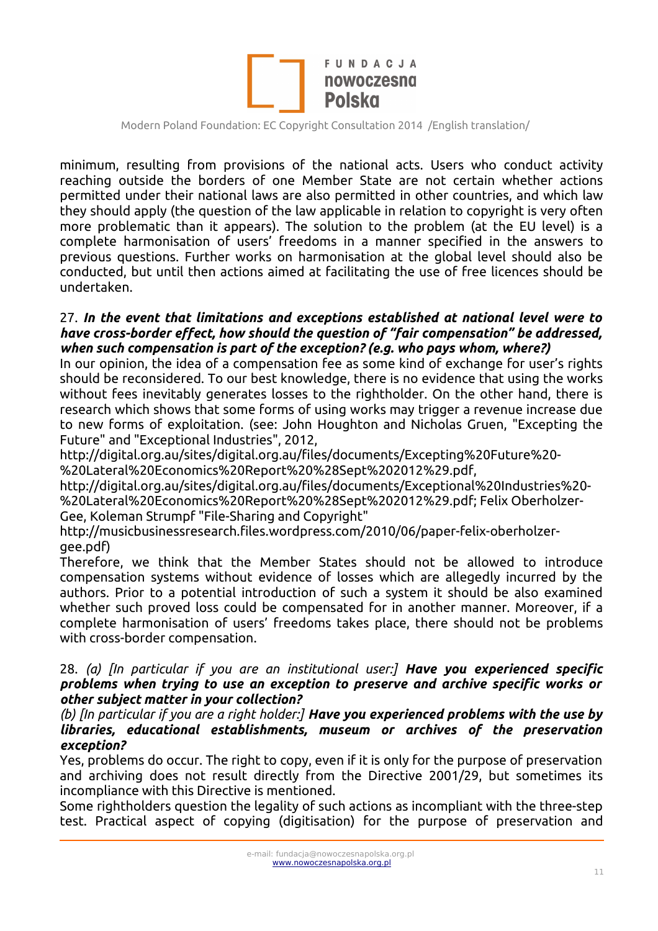

minimum, resulting from provisions of the national acts. Users who conduct activity reaching outside the borders of one Member State are not certain whether actions permitted under their national laws are also permitted in other countries, and which law they should apply (the question of the law applicable in relation to copyright is very often more problematic than it appears). The solution to the problem (at the EU level) is a complete harmonisation of users' freedoms in a manner specified in the answers to previous questions. Further works on harmonisation at the global level should also be conducted, but until then actions aimed at facilitating the use of free licences should be undertaken.

#### 27. *In the event that limitations and exceptions established at national level were to have cross-border effect, how should the question of "fair compensation" be addressed, when such compensation is part of the exception? (e.g. who pays whom, where?)*

In our opinion, the idea of a compensation fee as some kind of exchange for user's rights should be reconsidered. To our best knowledge, there is no evidence that using the works without fees inevitably generates losses to the rightholder. On the other hand, there is research which shows that some forms of using works may trigger a revenue increase due to new forms of exploitation. (see: John Houghton and Nicholas Gruen, "Excepting the Future" and "Exceptional Industries", 2012,

http://digital.org.au/sites/digital.org.au/files/documents/Excepting%20Future%20- %20Lateral%20Economics%20Report%20%28Sept%202012%29.pdf,

http://digital.org.au/sites/digital.org.au/files/documents/Exceptional%20Industries%20- %20Lateral%20Economics%20Report%20%28Sept%202012%29.pdf; Felix Oberholzer-

Gee, Koleman Strumpf "File-Sharing and Copyright"

http://musicbusinessresearch.files.wordpress.com/2010/06/paper-felix-oberholzergee.pdf)

Therefore, we think that the Member States should not be allowed to introduce compensation systems without evidence of losses which are allegedly incurred by the authors. Prior to a potential introduction of such a system it should be also examined whether such proved loss could be compensated for in another manner. Moreover, if a complete harmonisation of users' freedoms takes place, there should not be problems with cross-border compensation.

#### 28. *(a) [In particular if you are an institutional user:] Have you experienced specific problems when trying to use an exception to preserve and archive specific works or other subject matter in your collection?*

*(b) [In particular if you are a right holder:] Have you experienced problems with the use by libraries, educational establishments, museum or archives of the preservation exception?* 

Yes, problems do occur. The right to copy, even if it is only for the purpose of preservation and archiving does not result directly from the Directive 2001/29, but sometimes its incompliance with this Directive is mentioned.

Some rightholders question the legality of such actions as incompliant with the three-step test. Practical aspect of copying (digitisation) for the purpose of preservation and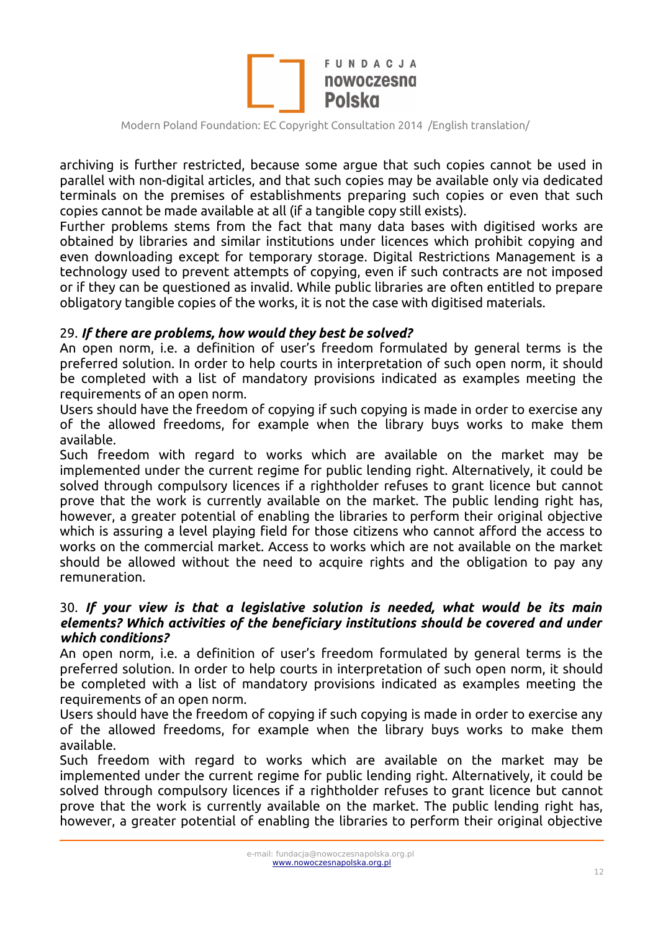

archiving is further restricted, because some argue that such copies cannot be used in parallel with non-digital articles, and that such copies may be available only via dedicated terminals on the premises of establishments preparing such copies or even that such copies cannot be made available at all (if a tangible copy still exists).

Further problems stems from the fact that many data bases with digitised works are obtained by libraries and similar institutions under licences which prohibit copying and even downloading except for temporary storage. Digital Restrictions Management is a technology used to prevent attempts of copying, even if such contracts are not imposed or if they can be questioned as invalid. While public libraries are often entitled to prepare obligatory tangible copies of the works, it is not the case with digitised materials.

#### 29. *If there are problems, how would they best be solved?*

An open norm, i.e. a definition of user's freedom formulated by general terms is the preferred solution. In order to help courts in interpretation of such open norm, it should be completed with a list of mandatory provisions indicated as examples meeting the requirements of an open norm.

Users should have the freedom of copying if such copying is made in order to exercise any of the allowed freedoms, for example when the library buys works to make them available.

Such freedom with regard to works which are available on the market may be implemented under the current regime for public lending right. Alternatively, it could be solved through compulsory licences if a rightholder refuses to grant licence but cannot prove that the work is currently available on the market. The public lending right has, however, a greater potential of enabling the libraries to perform their original objective which is assuring a level playing field for those citizens who cannot afford the access to works on the commercial market. Access to works which are not available on the market should be allowed without the need to acquire rights and the obligation to pay any remuneration.

#### 30. *If your view is that a legislative solution is needed, what would be its main elements? Which activities of the beneficiary institutions should be covered and under which conditions?*

An open norm, i.e. a definition of user's freedom formulated by general terms is the preferred solution. In order to help courts in interpretation of such open norm, it should be completed with a list of mandatory provisions indicated as examples meeting the requirements of an open norm.

Users should have the freedom of copying if such copying is made in order to exercise any of the allowed freedoms, for example when the library buys works to make them available.

Such freedom with regard to works which are available on the market may be implemented under the current regime for public lending right. Alternatively, it could be solved through compulsory licences if a rightholder refuses to grant licence but cannot prove that the work is currently available on the market. The public lending right has, however, a greater potential of enabling the libraries to perform their original objective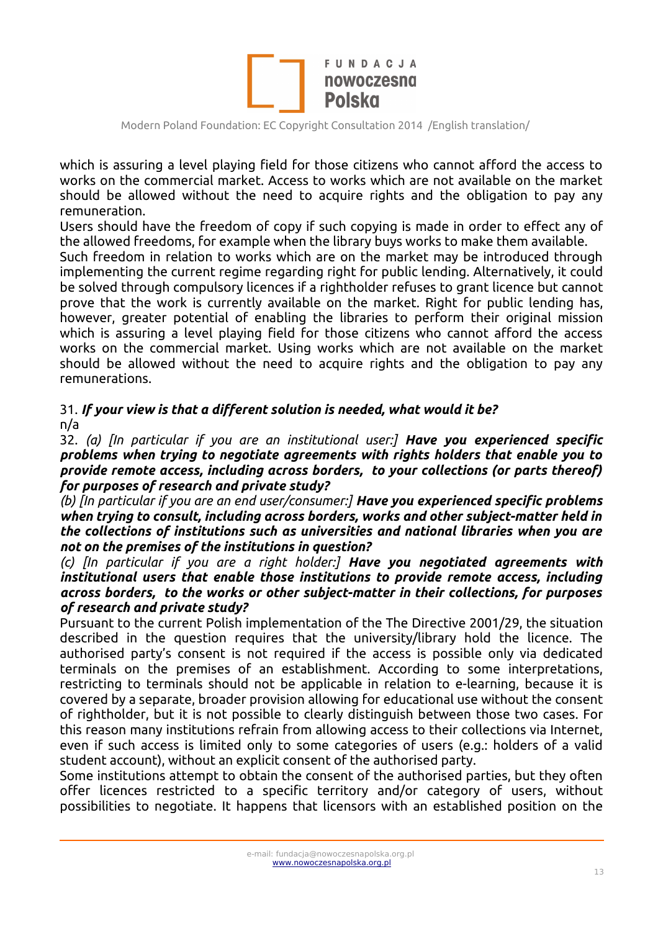

which is assuring a level playing field for those citizens who cannot afford the access to works on the commercial market. Access to works which are not available on the market should be allowed without the need to acquire rights and the obligation to pay any remuneration.

Users should have the freedom of copy if such copying is made in order to effect any of the allowed freedoms, for example when the library buys works to make them available.

Such freedom in relation to works which are on the market may be introduced through implementing the current regime regarding right for public lending. Alternatively, it could be solved through compulsory licences if a rightholder refuses to grant licence but cannot prove that the work is currently available on the market. Right for public lending has, however, greater potential of enabling the libraries to perform their original mission which is assuring a level playing field for those citizens who cannot afford the access works on the commercial market. Using works which are not available on the market should be allowed without the need to acquire rights and the obligation to pay any remunerations.

## 31. *If your view is that a different solution is needed, what would it be?* n/a

32. *(a) [In particular if you are an institutional user:] Have you experienced specific problems when trying to negotiate agreements with rights holders that enable you to provide remote access, including across borders, to your collections (or parts thereof) for purposes of research and private study?* 

*(b) [In particular if you are an end user/consumer:] Have you experienced specific problems when trying to consult, including across borders, works and other subject-matter held in the collections of institutions such as universities and national libraries when you are not on the premises of the institutions in question?*

*(c) [In particular if you are a right holder:] Have you negotiated agreements with institutional users that enable those institutions to provide remote access, including across borders, to the works or other subject-matter in their collections, for purposes of research and private study?*

Pursuant to the current Polish implementation of the The Directive 2001/29, the situation described in the question requires that the university/library hold the licence. The authorised party's consent is not required if the access is possible only via dedicated terminals on the premises of an establishment. According to some interpretations, restricting to terminals should not be applicable in relation to e-learning, because it is covered by a separate, broader provision allowing for educational use without the consent of rightholder, but it is not possible to clearly distinguish between those two cases. For this reason many institutions refrain from allowing access to their collections via Internet, even if such access is limited only to some categories of users (e.g.: holders of a valid student account), without an explicit consent of the authorised party.

Some institutions attempt to obtain the consent of the authorised parties, but they often offer licences restricted to a specific territory and/or category of users, without possibilities to negotiate. It happens that licensors with an established position on the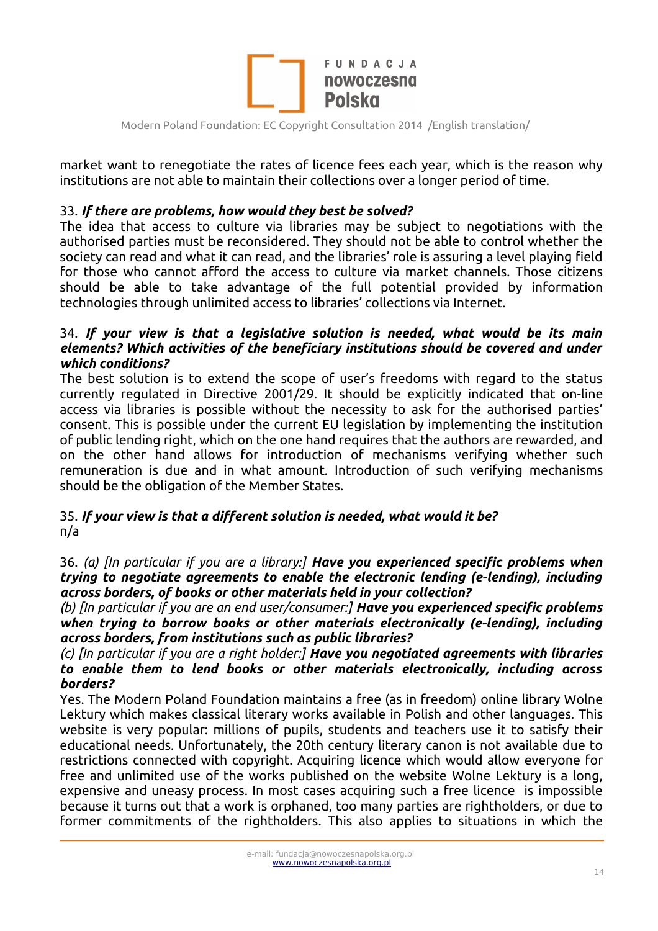

market want to renegotiate the rates of licence fees each year, which is the reason why institutions are not able to maintain their collections over a longer period of time.

### 33. *If there are problems, how would they best be solved?*

The idea that access to culture via libraries may be subject to negotiations with the authorised parties must be reconsidered. They should not be able to control whether the society can read and what it can read, and the libraries' role is assuring a level playing field for those who cannot afford the access to culture via market channels. Those citizens should be able to take advantage of the full potential provided by information technologies through unlimited access to libraries' collections via Internet.

### 34. *If your view is that a legislative solution is needed, what would be its main elements? Which activities of the beneficiary institutions should be covered and under which conditions?*

The best solution is to extend the scope of user's freedoms with regard to the status currently regulated in Directive 2001/29. It should be explicitly indicated that on-line access via libraries is possible without the necessity to ask for the authorised parties' consent. This is possible under the current EU legislation by implementing the institution of public lending right, which on the one hand requires that the authors are rewarded, and on the other hand allows for introduction of mechanisms verifying whether such remuneration is due and in what amount. Introduction of such verifying mechanisms should be the obligation of the Member States.

### 35. *If your view is that a different solution is needed, what would it be?* n/a

36. *(a) [In particular if you are a library:] Have you experienced specific problems when trying to negotiate agreements to enable the electronic lending (e-lending), including across borders, of books or other materials held in your collection?*

*(b) [In particular if you are an end user/consumer:] Have you experienced specific problems when trying to borrow books or other materials electronically (e-lending), including across borders, from institutions such as public libraries?* 

*(c) [In particular if you are a right holder:] Have you negotiated agreements with libraries to enable them to lend books or other materials electronically, including across borders?*

Yes. The Modern Poland Foundation maintains a free (as in freedom) online library Wolne Lektury which makes classical literary works available in Polish and other languages. This website is very popular: millions of pupils, students and teachers use it to satisfy their educational needs. Unfortunately, the 20th century literary canon is not available due to restrictions connected with copyright. Acquiring licence which would allow everyone for free and unlimited use of the works published on the website Wolne Lektury is a long, expensive and uneasy process. In most cases acquiring such a free licence is impossible because it turns out that a work is orphaned, too many parties are rightholders, or due to former commitments of the rightholders. This also applies to situations in which the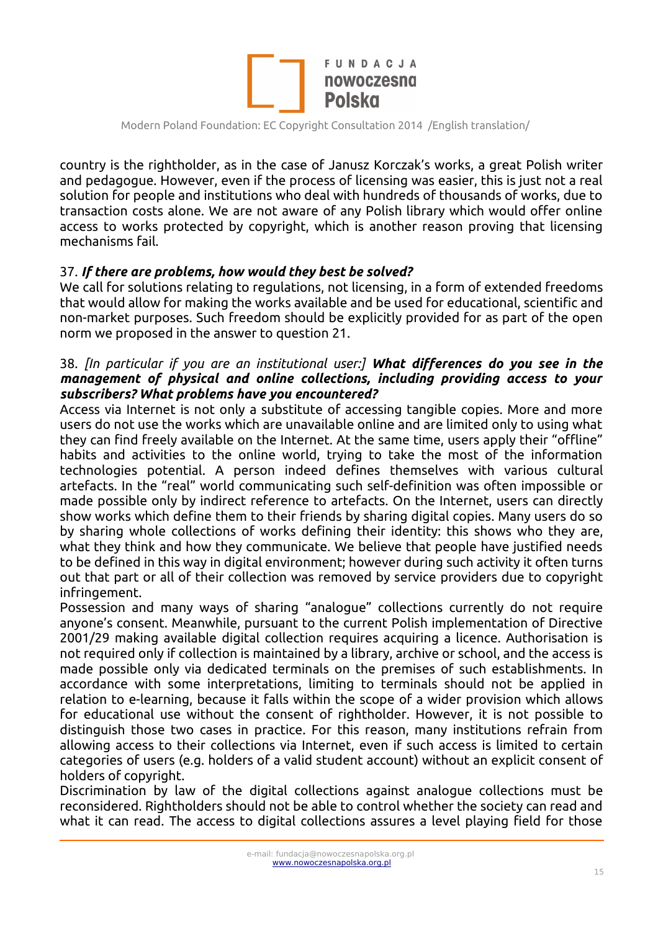

country is the rightholder, as in the case of Janusz Korczak's works, a great Polish writer and pedagogue. However, even if the process of licensing was easier, this is just not a real solution for people and institutions who deal with hundreds of thousands of works, due to transaction costs alone. We are not aware of any Polish library which would offer online access to works protected by copyright, which is another reason proving that licensing mechanisms fail.

#### 37. *If there are problems, how would they best be solved?*

We call for solutions relating to regulations, not licensing, in a form of extended freedoms that would allow for making the works available and be used for educational, scientific and non-market purposes. Such freedom should be explicitly provided for as part of the open norm we proposed in the answer to question 21.

### 38. *[In particular if you are an institutional user:] What differences do you see in the management of physical and online collections, including providing access to your subscribers? What problems have you encountered?*

Access via Internet is not only a substitute of accessing tangible copies. More and more users do not use the works which are unavailable online and are limited only to using what they can find freely available on the Internet. At the same time, users apply their "offline" habits and activities to the online world, trying to take the most of the information technologies potential. A person indeed defines themselves with various cultural artefacts. In the "real" world communicating such self-definition was often impossible or made possible only by indirect reference to artefacts. On the Internet, users can directly show works which define them to their friends by sharing digital copies. Many users do so by sharing whole collections of works defining their identity: this shows who they are, what they think and how they communicate. We believe that people have justified needs to be defined in this way in digital environment; however during such activity it often turns out that part or all of their collection was removed by service providers due to copyright infringement.

Possession and many ways of sharing "analogue" collections currently do not require anyone's consent. Meanwhile, pursuant to the current Polish implementation of Directive 2001/29 making available digital collection requires acquiring a licence. Authorisation is not required only if collection is maintained by a library, archive or school, and the access is made possible only via dedicated terminals on the premises of such establishments. In accordance with some interpretations, limiting to terminals should not be applied in relation to e-learning, because it falls within the scope of a wider provision which allows for educational use without the consent of rightholder. However, it is not possible to distinguish those two cases in practice. For this reason, many institutions refrain from allowing access to their collections via Internet, even if such access is limited to certain categories of users (e.g. holders of a valid student account) without an explicit consent of holders of copyright.

Discrimination by law of the digital collections against analogue collections must be reconsidered. Rightholders should not be able to control whether the society can read and what it can read. The access to digital collections assures a level playing field for those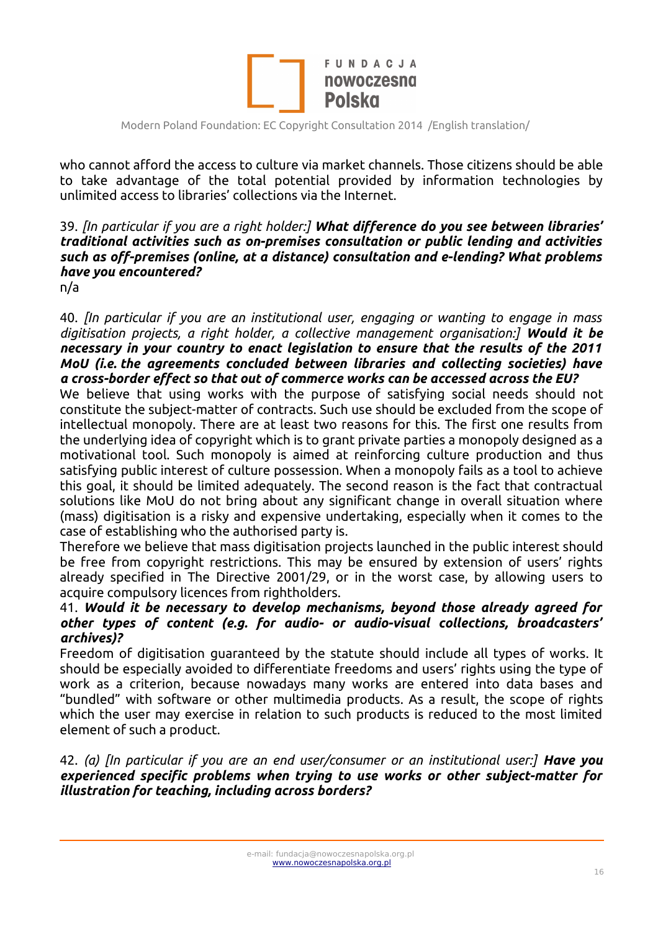

who cannot afford the access to culture via market channels. Those citizens should be able to take advantage of the total potential provided by information technologies by unlimited access to libraries' collections via the Internet.

### 39. *[In particular if you are a right holder:] What difference do you see between libraries' traditional activities such as on-premises consultation or public lending and activities such as off-premises (online, at a distance) consultation and e-lending? What problems have you encountered?*

n/a

40. *[In particular if you are an institutional user, engaging or wanting to engage in mass digitisation projects, a right holder, a collective management organisation:] Would it be necessary in your country to enact legislation to ensure that the results of the 2011 MoU (i.e. the agreements concluded between libraries and collecting societies) have a cross-border effect so that out of commerce works can be accessed across the EU?* 

We believe that using works with the purpose of satisfying social needs should not constitute the subject-matter of contracts. Such use should be excluded from the scope of intellectual monopoly. There are at least two reasons for this. The first one results from the underlying idea of copyright which is to grant private parties a monopoly designed as a motivational tool. Such monopoly is aimed at reinforcing culture production and thus satisfying public interest of culture possession. When a monopoly fails as a tool to achieve this goal, it should be limited adequately. The second reason is the fact that contractual solutions like MoU do not bring about any significant change in overall situation where (mass) digitisation is a risky and expensive undertaking, especially when it comes to the case of establishing who the authorised party is.

Therefore we believe that mass digitisation projects launched in the public interest should be free from copyright restrictions. This may be ensured by extension of users' rights already specified in The Directive 2001/29, or in the worst case, by allowing users to acquire compulsory licences from rightholders.

#### 41. *Would it be necessary to develop mechanisms, beyond those already agreed for other types of content (e.g. for audio- or audio-visual collections, broadcasters' archives)?*

Freedom of digitisation guaranteed by the statute should include all types of works. It should be especially avoided to differentiate freedoms and users' rights using the type of work as a criterion, because nowadays many works are entered into data bases and "bundled" with software or other multimedia products. As a result, the scope of rights which the user may exercise in relation to such products is reduced to the most limited element of such a product.

42. *(a) [In particular if you are an end user/consumer or an institutional user:] Have you experienced specific problems when trying to use works or other subject-matter for illustration for teaching, including across borders?*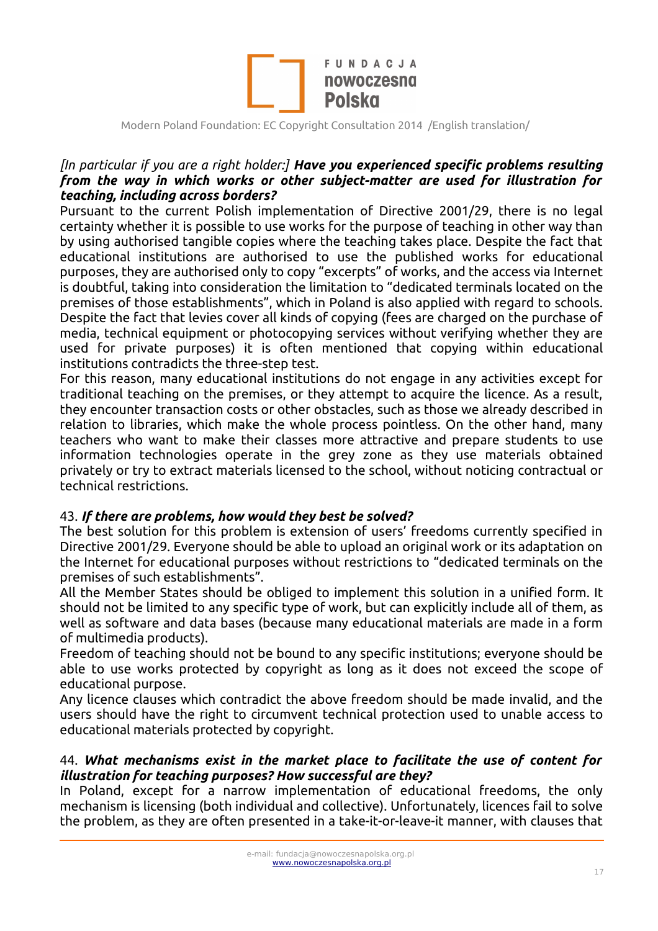

### *[In particular if you are a right holder:] Have you experienced specific problems resulting from the way in which works or other subject-matter are used for illustration for teaching, including across borders?*

Pursuant to the current Polish implementation of Directive 2001/29, there is no legal certainty whether it is possible to use works for the purpose of teaching in other way than by using authorised tangible copies where the teaching takes place. Despite the fact that educational institutions are authorised to use the published works for educational purposes, they are authorised only to copy "excerpts" of works, and the access via Internet is doubtful, taking into consideration the limitation to "dedicated terminals located on the premises of those establishments", which in Poland is also applied with regard to schools. Despite the fact that levies cover all kinds of copying (fees are charged on the purchase of media, technical equipment or photocopying services without verifying whether they are used for private purposes) it is often mentioned that copying within educational institutions contradicts the three-step test.

For this reason, many educational institutions do not engage in any activities except for traditional teaching on the premises, or they attempt to acquire the licence. As a result, they encounter transaction costs or other obstacles, such as those we already described in relation to libraries, which make the whole process pointless. On the other hand, many teachers who want to make their classes more attractive and prepare students to use information technologies operate in the grey zone as they use materials obtained privately or try to extract materials licensed to the school, without noticing contractual or technical restrictions.

#### 43. *If there are problems, how would they best be solved?*

The best solution for this problem is extension of users' freedoms currently specified in Directive 2001/29. Everyone should be able to upload an original work or its adaptation on the Internet for educational purposes without restrictions to "dedicated terminals on the premises of such establishments".

All the Member States should be obliged to implement this solution in a unified form. It should not be limited to any specific type of work, but can explicitly include all of them, as well as software and data bases (because many educational materials are made in a form of multimedia products).

Freedom of teaching should not be bound to any specific institutions; everyone should be able to use works protected by copyright as long as it does not exceed the scope of educational purpose.

Any licence clauses which contradict the above freedom should be made invalid, and the users should have the right to circumvent technical protection used to unable access to educational materials protected by copyright.

#### 44. *What mechanisms exist in the market place to facilitate the use of content for illustration for teaching purposes? How successful are they?*

In Poland, except for a narrow implementation of educational freedoms, the only mechanism is licensing (both individual and collective). Unfortunately, licences fail to solve the problem, as they are often presented in a take-it-or-leave-it manner, with clauses that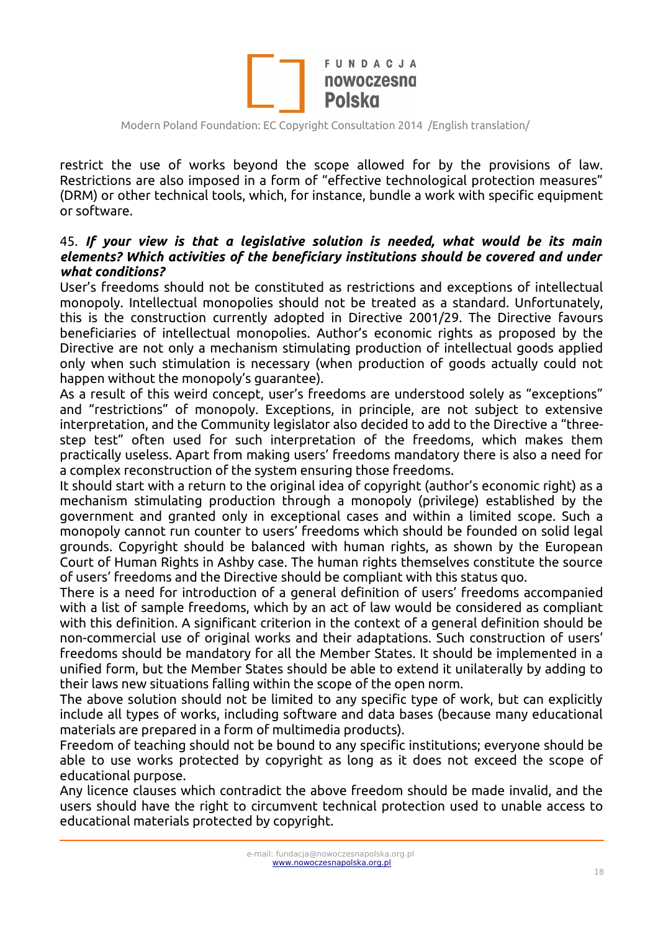

restrict the use of works beyond the scope allowed for by the provisions of law. Restrictions are also imposed in a form of "effective technological protection measures" (DRM) or other technical tools, which, for instance, bundle a work with specific equipment or software.

#### 45. *If your view is that a legislative solution is needed, what would be its main elements? Which activities of the beneficiary institutions should be covered and under what conditions?*

User's freedoms should not be constituted as restrictions and exceptions of intellectual monopoly. Intellectual monopolies should not be treated as a standard. Unfortunately, this is the construction currently adopted in Directive 2001/29. The Directive favours beneficiaries of intellectual monopolies. Author's economic rights as proposed by the Directive are not only a mechanism stimulating production of intellectual goods applied only when such stimulation is necessary (when production of goods actually could not happen without the monopoly's guarantee).

As a result of this weird concept, user's freedoms are understood solely as "exceptions" and "restrictions" of monopoly. Exceptions, in principle, are not subject to extensive interpretation, and the Community legislator also decided to add to the Directive a "threestep test" often used for such interpretation of the freedoms, which makes them practically useless. Apart from making users' freedoms mandatory there is also a need for a complex reconstruction of the system ensuring those freedoms.

It should start with a return to the original idea of copyright (author's economic right) as a mechanism stimulating production through a monopoly (privilege) established by the government and granted only in exceptional cases and within a limited scope. Such a monopoly cannot run counter to users' freedoms which should be founded on solid legal grounds. Copyright should be balanced with human rights, as shown by the European Court of Human Rights in Ashby case. The human rights themselves constitute the source of users' freedoms and the Directive should be compliant with this status quo.

There is a need for introduction of a general definition of users' freedoms accompanied with a list of sample freedoms, which by an act of law would be considered as compliant with this definition. A significant criterion in the context of a general definition should be non-commercial use of original works and their adaptations. Such construction of users' freedoms should be mandatory for all the Member States. It should be implemented in a unified form, but the Member States should be able to extend it unilaterally by adding to their laws new situations falling within the scope of the open norm.

The above solution should not be limited to any specific type of work, but can explicitly include all types of works, including software and data bases (because many educational materials are prepared in a form of multimedia products).

Freedom of teaching should not be bound to any specific institutions; everyone should be able to use works protected by copyright as long as it does not exceed the scope of educational purpose.

Any licence clauses which contradict the above freedom should be made invalid, and the users should have the right to circumvent technical protection used to unable access to educational materials protected by copyright.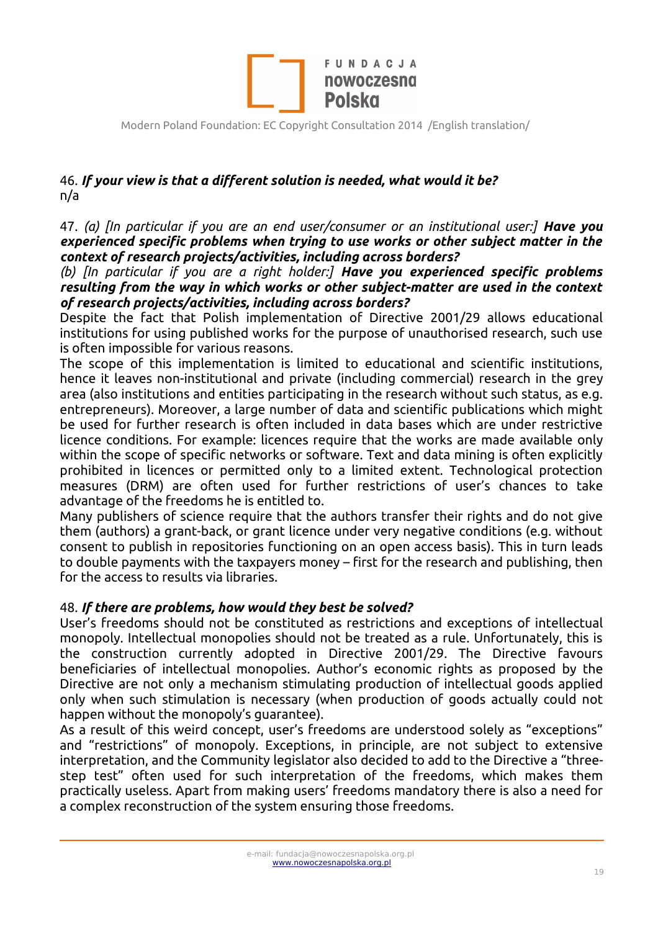

# 46. *If your view is that a different solution is needed, what would it be?* n/a

47. *(a) [In particular if you are an end user/consumer or an institutional user:] Have you experienced specific problems when trying to use works or other subject matter in the context of research projects/activities, including across borders?*

*(b) [In particular if you are a right holder:] Have you experienced specific problems resulting from the way in which works or other subject-matter are used in the context of research projects/activities, including across borders?*

Despite the fact that Polish implementation of Directive 2001/29 allows educational institutions for using published works for the purpose of unauthorised research, such use is often impossible for various reasons.

The scope of this implementation is limited to educational and scientific institutions, hence it leaves non-institutional and private (including commercial) research in the grey area (also institutions and entities participating in the research without such status, as e.g. entrepreneurs). Moreover, a large number of data and scientific publications which might be used for further research is often included in data bases which are under restrictive licence conditions. For example: licences require that the works are made available only within the scope of specific networks or software. Text and data mining is often explicitly prohibited in licences or permitted only to a limited extent. Technological protection measures (DRM) are often used for further restrictions of user's chances to take advantage of the freedoms he is entitled to.

Many publishers of science require that the authors transfer their rights and do not give them (authors) a grant-back, or grant licence under very negative conditions (e.g. without consent to publish in repositories functioning on an open access basis). This in turn leads to double payments with the taxpayers money – first for the research and publishing, then for the access to results via libraries.

### 48. *If there are problems, how would they best be solved?*

User's freedoms should not be constituted as restrictions and exceptions of intellectual monopoly. Intellectual monopolies should not be treated as a rule. Unfortunately, this is the construction currently adopted in Directive 2001/29. The Directive favours beneficiaries of intellectual monopolies. Author's economic rights as proposed by the Directive are not only a mechanism stimulating production of intellectual goods applied only when such stimulation is necessary (when production of goods actually could not happen without the monopoly's guarantee).

As a result of this weird concept, user's freedoms are understood solely as "exceptions" and "restrictions" of monopoly. Exceptions, in principle, are not subject to extensive interpretation, and the Community legislator also decided to add to the Directive a "threestep test" often used for such interpretation of the freedoms, which makes them practically useless. Apart from making users' freedoms mandatory there is also a need for a complex reconstruction of the system ensuring those freedoms.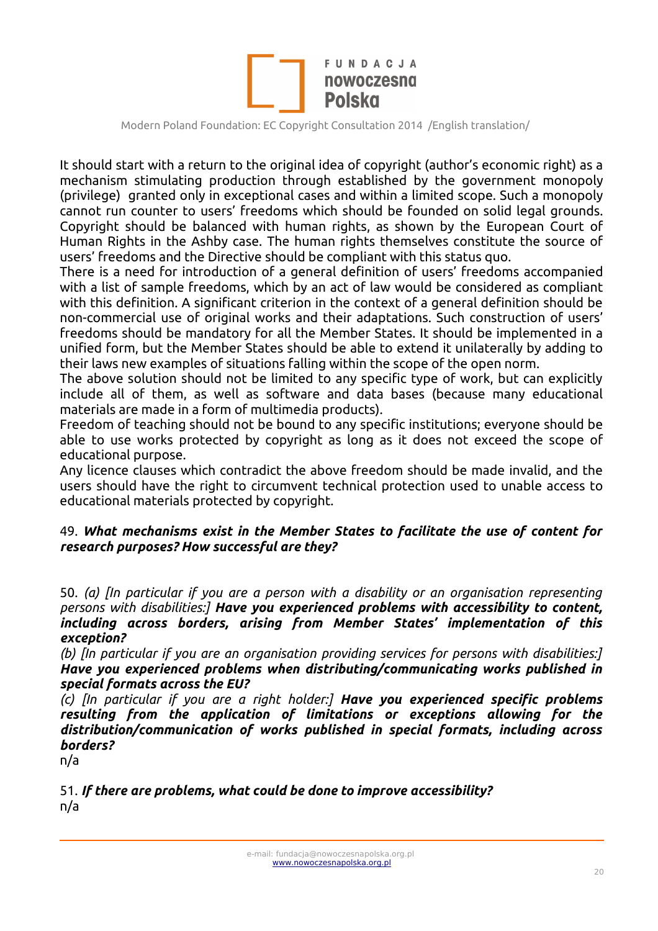

It should start with a return to the original idea of copyright (author's economic right) as a mechanism stimulating production through established by the government monopoly (privilege) granted only in exceptional cases and within a limited scope. Such a monopoly cannot run counter to users' freedoms which should be founded on solid legal grounds. Copyright should be balanced with human rights, as shown by the European Court of Human Rights in the Ashby case. The human rights themselves constitute the source of users' freedoms and the Directive should be compliant with this status quo.

There is a need for introduction of a general definition of users' freedoms accompanied with a list of sample freedoms, which by an act of law would be considered as compliant with this definition. A significant criterion in the context of a general definition should be non-commercial use of original works and their adaptations. Such construction of users' freedoms should be mandatory for all the Member States. It should be implemented in a unified form, but the Member States should be able to extend it unilaterally by adding to their laws new examples of situations falling within the scope of the open norm.

The above solution should not be limited to any specific type of work, but can explicitly include all of them, as well as software and data bases (because many educational materials are made in a form of multimedia products).

Freedom of teaching should not be bound to any specific institutions; everyone should be able to use works protected by copyright as long as it does not exceed the scope of educational purpose.

Any licence clauses which contradict the above freedom should be made invalid, and the users should have the right to circumvent technical protection used to unable access to educational materials protected by copyright.

#### 49. *What mechanisms exist in the Member States to facilitate the use of content for research purposes? How successful are they?*

50. *(a) [In particular if you are a person with a disability or an organisation representing persons with disabilities:] Have you experienced problems with accessibility to content, including across borders, arising from Member States' implementation of this exception?*

*(b) [In particular if you are an organisation providing services for persons with disabilities:] Have you experienced problems when distributing/communicating works published in special formats across the EU?*

*(c) [In particular if you are a right holder:] Have you experienced specific problems resulting from the application of limitations or exceptions allowing for the distribution/communication of works published in special formats, including across borders?*

n/a

51. *If there are problems, what could be done to improve accessibility?*  n/a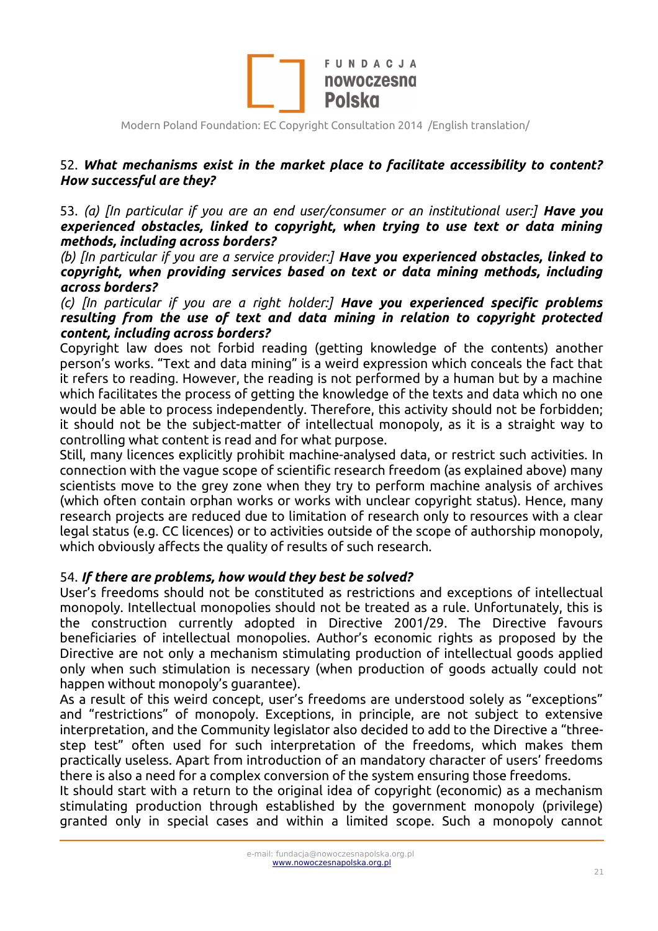

### 52. *What mechanisms exist in the market place to facilitate accessibility to content? How successful are they?*

53. *(a) [In particular if you are an end user/consumer or an institutional user:] Have you experienced obstacles, linked to copyright, when trying to use text or data mining methods, including across borders?*

*(b) [In particular if you are a service provider:] Have you experienced obstacles, linked to copyright, when providing services based on text or data mining methods, including across borders?*

*(c) [In particular if you are a right holder:] Have you experienced specific problems resulting from the use of text and data mining in relation to copyright protected content, including across borders?*

Copyright law does not forbid reading (getting knowledge of the contents) another person's works. "Text and data mining" is a weird expression which conceals the fact that it refers to reading. However, the reading is not performed by a human but by a machine which facilitates the process of getting the knowledge of the texts and data which no one would be able to process independently. Therefore, this activity should not be forbidden; it should not be the subject-matter of intellectual monopoly, as it is a straight way to controlling what content is read and for what purpose.

Still, many licences explicitly prohibit machine-analysed data, or restrict such activities. In connection with the vague scope of scientific research freedom (as explained above) many scientists move to the grey zone when they try to perform machine analysis of archives (which often contain orphan works or works with unclear copyright status). Hence, many research projects are reduced due to limitation of research only to resources with a clear legal status (e.g. CC licences) or to activities outside of the scope of authorship monopoly, which obviously affects the quality of results of such research.

#### 54. *If there are problems, how would they best be solved?*

User's freedoms should not be constituted as restrictions and exceptions of intellectual monopoly. Intellectual monopolies should not be treated as a rule. Unfortunately, this is the construction currently adopted in Directive 2001/29. The Directive favours beneficiaries of intellectual monopolies. Author's economic rights as proposed by the Directive are not only a mechanism stimulating production of intellectual goods applied only when such stimulation is necessary (when production of goods actually could not happen without monopoly's guarantee).

As a result of this weird concept, user's freedoms are understood solely as "exceptions" and "restrictions" of monopoly. Exceptions, in principle, are not subject to extensive interpretation, and the Community legislator also decided to add to the Directive a "threestep test" often used for such interpretation of the freedoms, which makes them practically useless. Apart from introduction of an mandatory character of users' freedoms there is also a need for a complex conversion of the system ensuring those freedoms.

It should start with a return to the original idea of copyright (economic) as a mechanism stimulating production through established by the government monopoly (privilege) granted only in special cases and within a limited scope. Such a monopoly cannot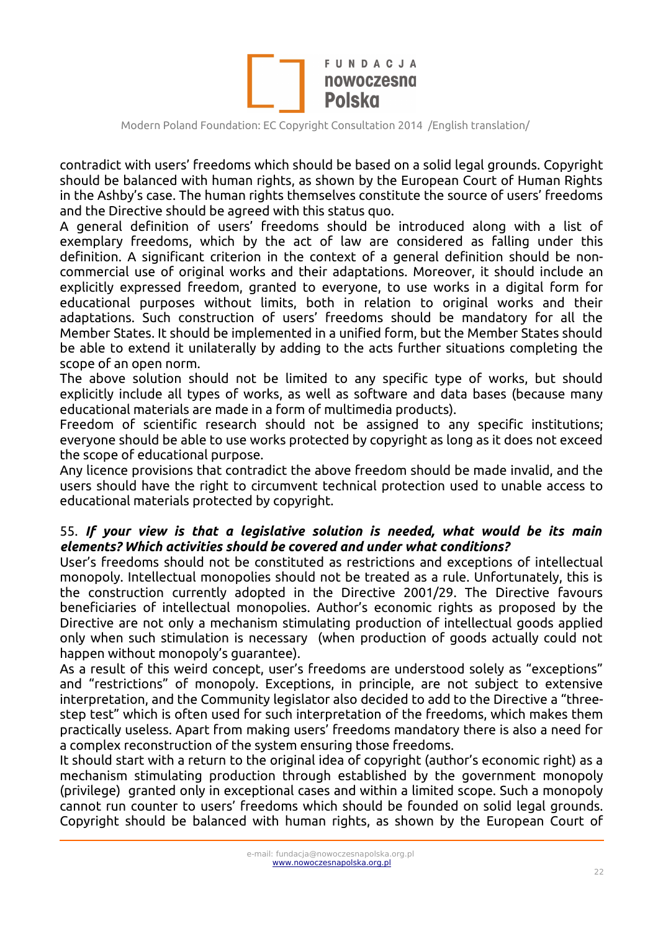

contradict with users' freedoms which should be based on a solid legal grounds. Copyright should be balanced with human rights, as shown by the European Court of Human Rights in the Ashby's case. The human rights themselves constitute the source of users' freedoms and the Directive should be agreed with this status quo.

A general definition of users' freedoms should be introduced along with a list of exemplary freedoms, which by the act of law are considered as falling under this definition. A significant criterion in the context of a general definition should be noncommercial use of original works and their adaptations. Moreover, it should include an explicitly expressed freedom, granted to everyone, to use works in a digital form for educational purposes without limits, both in relation to original works and their adaptations. Such construction of users' freedoms should be mandatory for all the Member States. It should be implemented in a unified form, but the Member States should be able to extend it unilaterally by adding to the acts further situations completing the scope of an open norm.

The above solution should not be limited to any specific type of works, but should explicitly include all types of works, as well as software and data bases (because many educational materials are made in a form of multimedia products).

Freedom of scientific research should not be assigned to any specific institutions; everyone should be able to use works protected by copyright as long as it does not exceed the scope of educational purpose.

Any licence provisions that contradict the above freedom should be made invalid, and the users should have the right to circumvent technical protection used to unable access to educational materials protected by copyright.

### 55. *If your view is that a legislative solution is needed, what would be its main elements? Which activities should be covered and under what conditions?*

User's freedoms should not be constituted as restrictions and exceptions of intellectual monopoly. Intellectual monopolies should not be treated as a rule. Unfortunately, this is the construction currently adopted in the Directive 2001/29. The Directive favours beneficiaries of intellectual monopolies. Author's economic rights as proposed by the Directive are not only a mechanism stimulating production of intellectual goods applied only when such stimulation is necessary (when production of goods actually could not happen without monopoly's guarantee).

As a result of this weird concept, user's freedoms are understood solely as "exceptions" and "restrictions" of monopoly. Exceptions, in principle, are not subject to extensive interpretation, and the Community legislator also decided to add to the Directive a "threestep test" which is often used for such interpretation of the freedoms, which makes them practically useless. Apart from making users' freedoms mandatory there is also a need for a complex reconstruction of the system ensuring those freedoms.

It should start with a return to the original idea of copyright (author's economic right) as a mechanism stimulating production through established by the government monopoly (privilege) granted only in exceptional cases and within a limited scope. Such a monopoly cannot run counter to users' freedoms which should be founded on solid legal grounds. Copyright should be balanced with human rights, as shown by the European Court of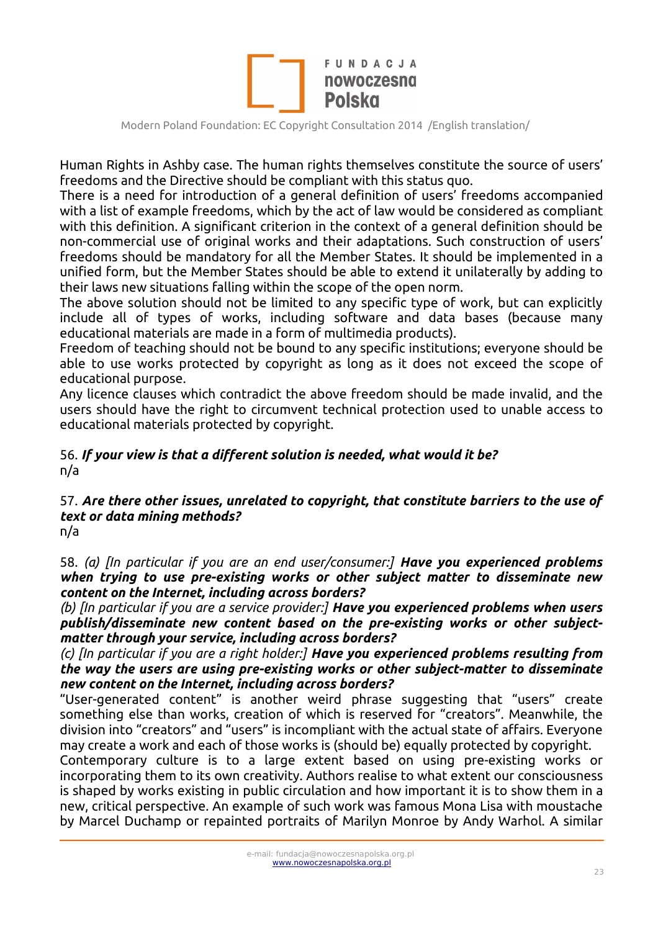

Human Rights in Ashby case. The human rights themselves constitute the source of users' freedoms and the Directive should be compliant with this status quo.

There is a need for introduction of a general definition of users' freedoms accompanied with a list of example freedoms, which by the act of law would be considered as compliant with this definition. A significant criterion in the context of a general definition should be non-commercial use of original works and their adaptations. Such construction of users' freedoms should be mandatory for all the Member States. It should be implemented in a unified form, but the Member States should be able to extend it unilaterally by adding to their laws new situations falling within the scope of the open norm.

The above solution should not be limited to any specific type of work, but can explicitly include all of types of works, including software and data bases (because many educational materials are made in a form of multimedia products).

Freedom of teaching should not be bound to any specific institutions; everyone should be able to use works protected by copyright as long as it does not exceed the scope of educational purpose.

Any licence clauses which contradict the above freedom should be made invalid, and the users should have the right to circumvent technical protection used to unable access to educational materials protected by copyright.

### 56. *If your view is that a different solution is needed, what would it be?* n/a

#### 57. *Are there other issues, unrelated to copyright, that constitute barriers to the use of text or data mining methods?* n/a

58. *(a) [In particular if you are an end user/consumer:] Have you experienced problems when trying to use pre-existing works or other subject matter to disseminate new content on the Internet, including across borders?*

*(b) [In particular if you are a service provider:] Have you experienced problems when users publish/disseminate new content based on the pre-existing works or other subjectmatter through your service, including across borders?*

*(c) [In particular if you are a right holder:] Have you experienced problems resulting from the way the users are using pre-existing works or other subject-matter to disseminate new content on the Internet, including across borders?*

"User-generated content" is another weird phrase suggesting that "users" create something else than works, creation of which is reserved for "creators". Meanwhile, the division into "creators" and "users" is incompliant with the actual state of affairs. Everyone may create a work and each of those works is (should be) equally protected by copyright.

Contemporary culture is to a large extent based on using pre-existing works or incorporating them to its own creativity. Authors realise to what extent our consciousness is shaped by works existing in public circulation and how important it is to show them in a new, critical perspective. An example of such work was famous Mona Lisa with moustache by Marcel Duchamp or repainted portraits of Marilyn Monroe by Andy Warhol. A similar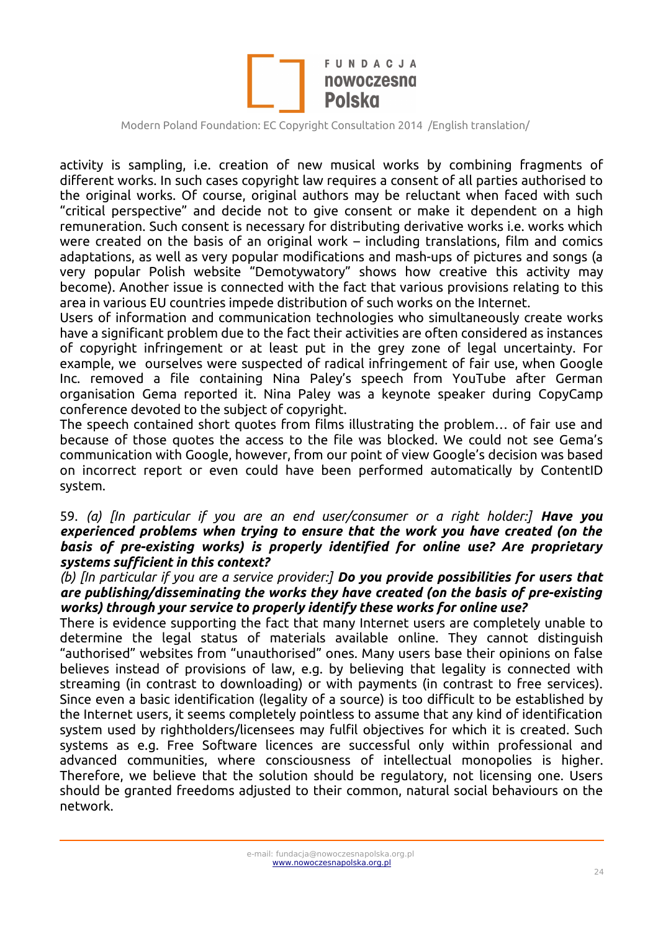

activity is sampling, i.e. creation of new musical works by combining fragments of different works. In such cases copyright law requires a consent of all parties authorised to the original works. Of course, original authors may be reluctant when faced with such "critical perspective" and decide not to give consent or make it dependent on a high remuneration. Such consent is necessary for distributing derivative works i.e. works which were created on the basis of an original work – including translations, film and comics adaptations, as well as very popular modifications and mash-ups of pictures and songs (a very popular Polish website "Demotywatory" shows how creative this activity may become). Another issue is connected with the fact that various provisions relating to this area in various EU countries impede distribution of such works on the Internet.

Users of information and communication technologies who simultaneously create works have a significant problem due to the fact their activities are often considered as instances of copyright infringement or at least put in the grey zone of legal uncertainty. For example, we ourselves were suspected of radical infringement of fair use, when Google Inc. removed a file containing Nina Paley's speech from YouTube after German organisation Gema reported it. Nina Paley was a keynote speaker during CopyCamp conference devoted to the subject of copyright.

The speech contained short quotes from films illustrating the problem… of fair use and because of those quotes the access to the file was blocked. We could not see Gema's communication with Google, however, from our point of view Google's decision was based on incorrect report or even could have been performed automatically by ContentID system.

#### 59. *(a) [In particular if you are an end user/consumer or a right holder:] Have you experienced problems when trying to ensure that the work you have created (on the basis of pre-existing works) is properly identified for online use? Are proprietary systems sufficient in this context?*

#### *(b) [In particular if you are a service provider:] Do you provide possibilities for users that are publishing/disseminating the works they have created (on the basis of pre-existing works) through your service to properly identify these works for online use?*

There is evidence supporting the fact that many Internet users are completely unable to determine the legal status of materials available online. They cannot distinguish "authorised" websites from "unauthorised" ones. Many users base their opinions on false believes instead of provisions of law, e.g. by believing that legality is connected with streaming (in contrast to downloading) or with payments (in contrast to free services). Since even a basic identification (legality of a source) is too difficult to be established by the Internet users, it seems completely pointless to assume that any kind of identification system used by rightholders/licensees may fulfil objectives for which it is created. Such systems as e.g. Free Software licences are successful only within professional and advanced communities, where consciousness of intellectual monopolies is higher. Therefore, we believe that the solution should be regulatory, not licensing one. Users should be granted freedoms adjusted to their common, natural social behaviours on the network.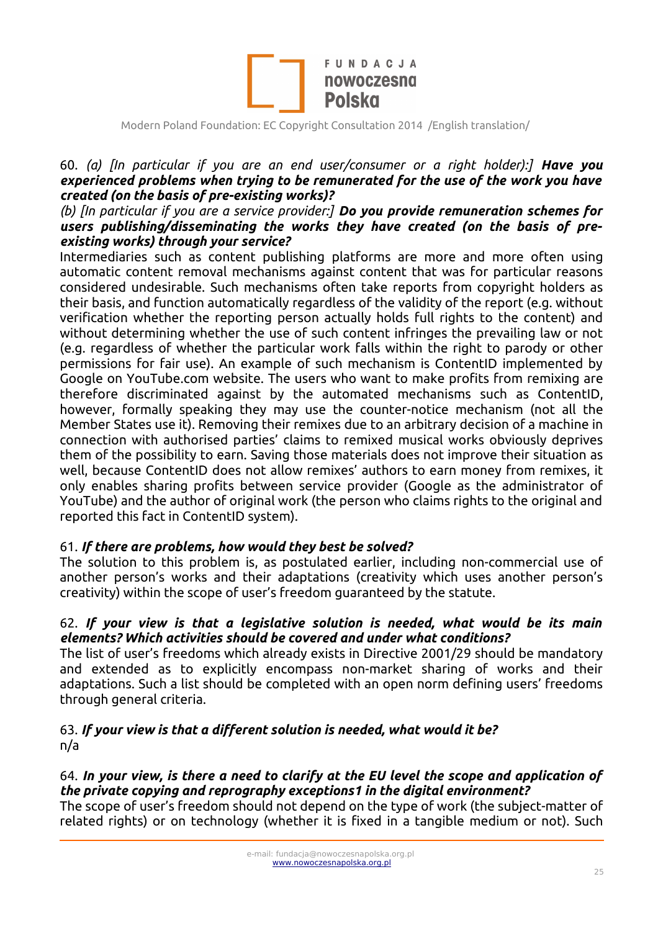

### 60. *(a) [In particular if you are an end user/consumer or a right holder):] Have you experienced problems when trying to be remunerated for the use of the work you have created (on the basis of pre-existing works)?*

#### *(b) [In particular if you are a service provider:] Do you provide remuneration schemes for users publishing/disseminating the works they have created (on the basis of preexisting works) through your service?*

Intermediaries such as content publishing platforms are more and more often using automatic content removal mechanisms against content that was for particular reasons considered undesirable. Such mechanisms often take reports from copyright holders as their basis, and function automatically regardless of the validity of the report (e.g. without verification whether the reporting person actually holds full rights to the content) and without determining whether the use of such content infringes the prevailing law or not (e.g. regardless of whether the particular work falls within the right to parody or other permissions for fair use). An example of such mechanism is ContentID implemented by Google on YouTube.com website. The users who want to make profits from remixing are therefore discriminated against by the automated mechanisms such as ContentID, however, formally speaking they may use the counter-notice mechanism (not all the Member States use it). Removing their remixes due to an arbitrary decision of a machine in connection with authorised parties' claims to remixed musical works obviously deprives them of the possibility to earn. Saving those materials does not improve their situation as well, because ContentID does not allow remixes' authors to earn money from remixes, it only enables sharing profits between service provider (Google as the administrator of YouTube) and the author of original work (the person who claims rights to the original and reported this fact in ContentID system).

#### 61. *If there are problems, how would they best be solved?*

The solution to this problem is, as postulated earlier, including non-commercial use of another person's works and their adaptations (creativity which uses another person's creativity) within the scope of user's freedom guaranteed by the statute.

#### 62. *If your view is that a legislative solution is needed, what would be its main elements? Which activities should be covered and under what conditions?*

The list of user's freedoms which already exists in Directive 2001/29 should be mandatory and extended as to explicitly encompass non-market sharing of works and their adaptations. Such a list should be completed with an open norm defining users' freedoms through general criteria.

#### 63. *If your view is that a different solution is needed, what would it be?* n/a

# 64. *In your view, is there a need to clarify at the EU level the scope and application of the private copying and reprography exceptions1 in the digital environment?*

The scope of user's freedom should not depend on the type of work (the subject-matter of related rights) or on technology (whether it is fixed in a tangible medium or not). Such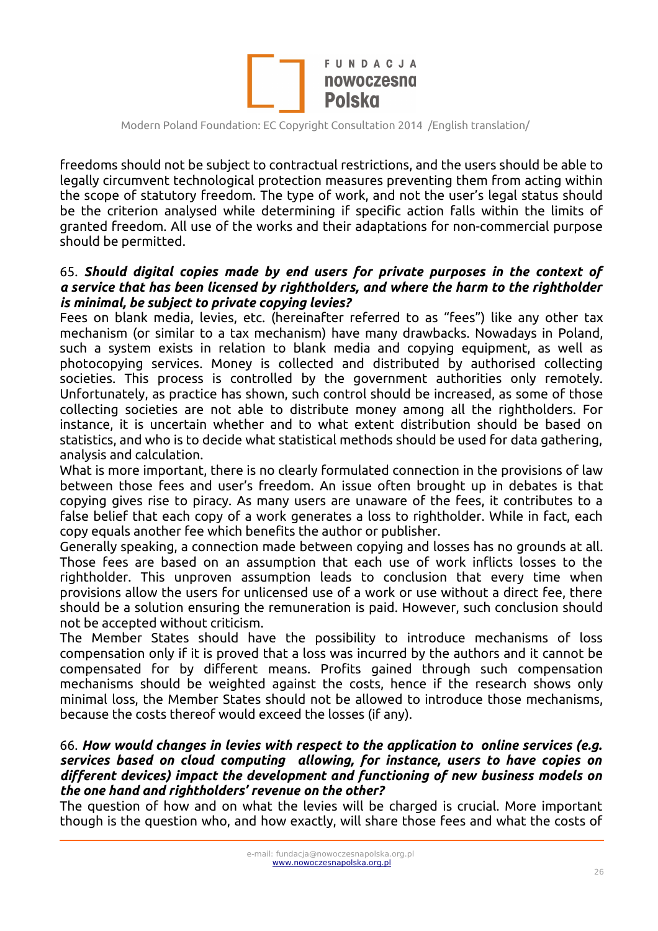

freedoms should not be subject to contractual restrictions, and the users should be able to legally circumvent technological protection measures preventing them from acting within the scope of statutory freedom. The type of work, and not the user's legal status should be the criterion analysed while determining if specific action falls within the limits of granted freedom. All use of the works and their adaptations for non-commercial purpose should be permitted.

#### 65. *Should digital copies made by end users for private purposes in the context of a service that has been licensed by rightholders, and where the harm to the rightholder is minimal, be subject to private copying levies?*

Fees on blank media, levies, etc. (hereinafter referred to as "fees") like any other tax mechanism (or similar to a tax mechanism) have many drawbacks. Nowadays in Poland, such a system exists in relation to blank media and copying equipment, as well as photocopying services. Money is collected and distributed by authorised collecting societies. This process is controlled by the government authorities only remotely. Unfortunately, as practice has shown, such control should be increased, as some of those collecting societies are not able to distribute money among all the rightholders. For instance, it is uncertain whether and to what extent distribution should be based on statistics, and who is to decide what statistical methods should be used for data gathering, analysis and calculation.

What is more important, there is no clearly formulated connection in the provisions of law between those fees and user's freedom. An issue often brought up in debates is that copying gives rise to piracy. As many users are unaware of the fees, it contributes to a false belief that each copy of a work generates a loss to rightholder. While in fact, each copy equals another fee which benefits the author or publisher.

Generally speaking, a connection made between copying and losses has no grounds at all. Those fees are based on an assumption that each use of work inflicts losses to the rightholder. This unproven assumption leads to conclusion that every time when provisions allow the users for unlicensed use of a work or use without a direct fee, there should be a solution ensuring the remuneration is paid. However, such conclusion should not be accepted without criticism.

The Member States should have the possibility to introduce mechanisms of loss compensation only if it is proved that a loss was incurred by the authors and it cannot be compensated for by different means. Profits gained through such compensation mechanisms should be weighted against the costs, hence if the research shows only minimal loss, the Member States should not be allowed to introduce those mechanisms, because the costs thereof would exceed the losses (if any).

#### 66. *How would changes in levies with respect to the application to online services (e.g. services based on cloud computing allowing, for instance, users to have copies on different devices) impact the development and functioning of new business models on the one hand and rightholders' revenue on the other?*

The question of how and on what the levies will be charged is crucial. More important though is the question who, and how exactly, will share those fees and what the costs of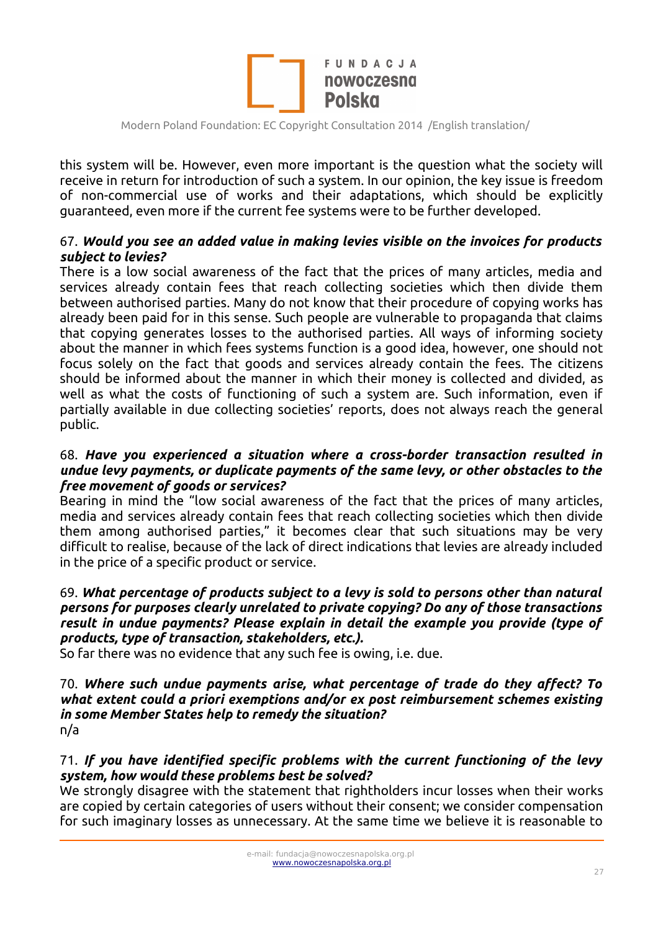

this system will be. However, even more important is the question what the society will receive in return for introduction of such a system. In our opinion, the key issue is freedom of non-commercial use of works and their adaptations, which should be explicitly guaranteed, even more if the current fee systems were to be further developed.

### 67. *Would you see an added value in making levies visible on the invoices for products subject to levies?*

There is a low social awareness of the fact that the prices of many articles, media and services already contain fees that reach collecting societies which then divide them between authorised parties. Many do not know that their procedure of copying works has already been paid for in this sense. Such people are vulnerable to propaganda that claims that copying generates losses to the authorised parties. All ways of informing society about the manner in which fees systems function is a good idea, however, one should not focus solely on the fact that goods and services already contain the fees. The citizens should be informed about the manner in which their money is collected and divided, as well as what the costs of functioning of such a system are. Such information, even if partially available in due collecting societies' reports, does not always reach the general public.

#### 68. *Have you experienced a situation where a cross-border transaction resulted in undue levy payments, or duplicate payments of the same levy, or other obstacles to the free movement of goods or services?*

Bearing in mind the "low social awareness of the fact that the prices of many articles, media and services already contain fees that reach collecting societies which then divide them among authorised parties," it becomes clear that such situations may be very difficult to realise, because of the lack of direct indications that levies are already included in the price of a specific product or service.

#### 69. *What percentage of products subject to a levy is sold to persons other than natural persons for purposes clearly unrelated to private copying? Do any of those transactions result in undue payments? Please explain in detail the example you provide (type of products, type of transaction, stakeholders, etc.).*

So far there was no evidence that any such fee is owing, i.e. due.

#### 70. *Where such undue payments arise, what percentage of trade do they affect? To what extent could a priori exemptions and/or ex post reimbursement schemes existing in some Member States help to remedy the situation?* n/a

### 71. *If you have identified specific problems with the current functioning of the levy system, how would these problems best be solved?*

We strongly disagree with the statement that rightholders incur losses when their works are copied by certain categories of users without their consent; we consider compensation for such imaginary losses as unnecessary. At the same time we believe it is reasonable to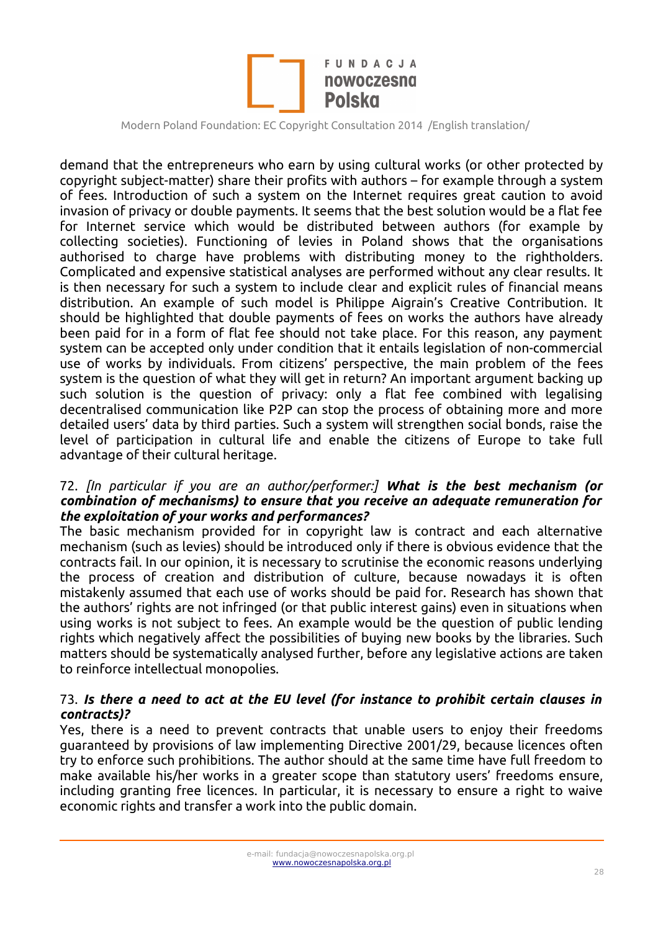

demand that the entrepreneurs who earn by using cultural works (or other protected by copyright subject-matter) share their profits with authors – for example through a system of fees. Introduction of such a system on the Internet requires great caution to avoid invasion of privacy or double payments. It seems that the best solution would be a flat fee for Internet service which would be distributed between authors (for example by collecting societies). Functioning of levies in Poland shows that the organisations authorised to charge have problems with distributing money to the rightholders. Complicated and expensive statistical analyses are performed without any clear results. It is then necessary for such a system to include clear and explicit rules of financial means distribution. An example of such model is Philippe Aigrain's Creative Contribution. It should be highlighted that double payments of fees on works the authors have already been paid for in a form of flat fee should not take place. For this reason, any payment system can be accepted only under condition that it entails legislation of non-commercial use of works by individuals. From citizens' perspective, the main problem of the fees system is the question of what they will get in return? An important argument backing up such solution is the question of privacy: only a flat fee combined with legalising decentralised communication like P2P can stop the process of obtaining more and more detailed users' data by third parties. Such a system will strengthen social bonds, raise the level of participation in cultural life and enable the citizens of Europe to take full advantage of their cultural heritage.

#### 72. *[In particular if you are an author/performer:] What is the best mechanism (or combination of mechanisms) to ensure that you receive an adequate remuneration for the exploitation of your works and performances?*

The basic mechanism provided for in copyright law is contract and each alternative mechanism (such as levies) should be introduced only if there is obvious evidence that the contracts fail. In our opinion, it is necessary to scrutinise the economic reasons underlying the process of creation and distribution of culture, because nowadays it is often mistakenly assumed that each use of works should be paid for. Research has shown that the authors' rights are not infringed (or that public interest gains) even in situations when using works is not subject to fees. An example would be the question of public lending rights which negatively affect the possibilities of buying new books by the libraries. Such matters should be systematically analysed further, before any legislative actions are taken to reinforce intellectual monopolies.

### 73. *Is there a need to act at the EU level (for instance to prohibit certain clauses in contracts)?*

Yes, there is a need to prevent contracts that unable users to enjoy their freedoms guaranteed by provisions of law implementing Directive 2001/29, because licences often try to enforce such prohibitions. The author should at the same time have full freedom to make available his/her works in a greater scope than statutory users' freedoms ensure, including granting free licences. In particular, it is necessary to ensure a right to waive economic rights and transfer a work into the public domain.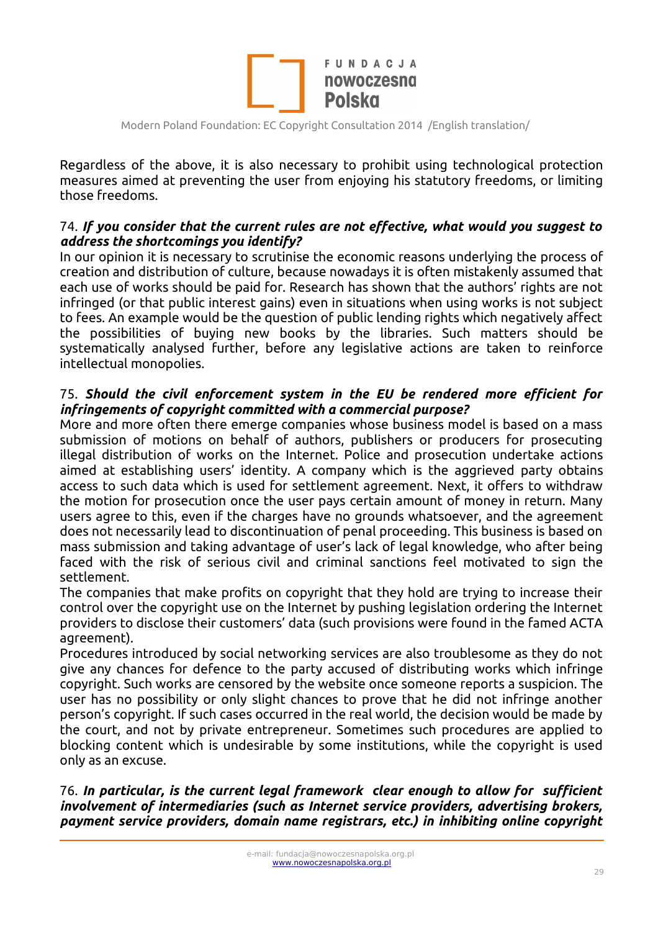

Regardless of the above, it is also necessary to prohibit using technological protection measures aimed at preventing the user from enjoying his statutory freedoms, or limiting those freedoms.

### 74. *If you consider that the current rules are not effective, what would you suggest to address the shortcomings you identify?*

In our opinion it is necessary to scrutinise the economic reasons underlying the process of creation and distribution of culture, because nowadays it is often mistakenly assumed that each use of works should be paid for. Research has shown that the authors' rights are not infringed (or that public interest gains) even in situations when using works is not subject to fees. An example would be the question of public lending rights which negatively affect the possibilities of buying new books by the libraries. Such matters should be systematically analysed further, before any legislative actions are taken to reinforce intellectual monopolies.

### 75. *Should the civil enforcement system in the EU be rendered more efficient for infringements of copyright committed with a commercial purpose?*

More and more often there emerge companies whose business model is based on a mass submission of motions on behalf of authors, publishers or producers for prosecuting illegal distribution of works on the Internet. Police and prosecution undertake actions aimed at establishing users' identity. A company which is the aggrieved party obtains access to such data which is used for settlement agreement. Next, it offers to withdraw the motion for prosecution once the user pays certain amount of money in return. Many users agree to this, even if the charges have no grounds whatsoever, and the agreement does not necessarily lead to discontinuation of penal proceeding. This business is based on mass submission and taking advantage of user's lack of legal knowledge, who after being faced with the risk of serious civil and criminal sanctions feel motivated to sign the settlement.

The companies that make profits on copyright that they hold are trying to increase their control over the copyright use on the Internet by pushing legislation ordering the Internet providers to disclose their customers' data (such provisions were found in the famed ACTA agreement).

Procedures introduced by social networking services are also troublesome as they do not give any chances for defence to the party accused of distributing works which infringe copyright. Such works are censored by the website once someone reports a suspicion. The user has no possibility or only slight chances to prove that he did not infringe another person's copyright. If such cases occurred in the real world, the decision would be made by the court, and not by private entrepreneur. Sometimes such procedures are applied to blocking content which is undesirable by some institutions, while the copyright is used only as an excuse.

76. *In particular, is the current legal framework clear enough to allow for sufficient involvement of intermediaries (such as Internet service providers, advertising brokers, payment service providers, domain name registrars, etc.) in inhibiting online copyright*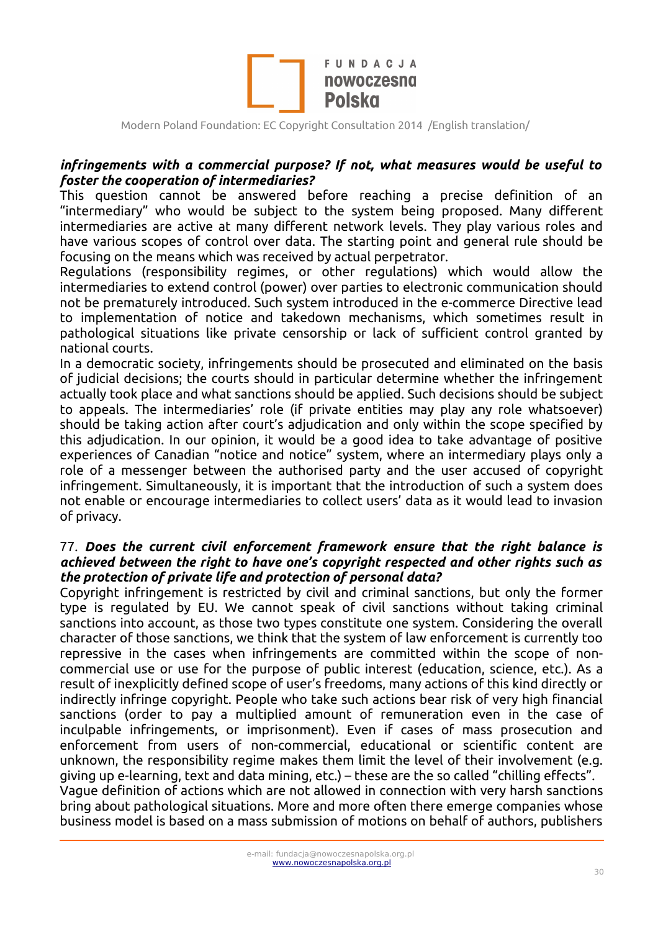

### *infringements with a commercial purpose? If not, what measures would be useful to foster the cooperation of intermediaries?*

This question cannot be answered before reaching a precise definition of an "intermediary" who would be subject to the system being proposed. Many different intermediaries are active at many different network levels. They play various roles and have various scopes of control over data. The starting point and general rule should be focusing on the means which was received by actual perpetrator.

Regulations (responsibility regimes, or other regulations) which would allow the intermediaries to extend control (power) over parties to electronic communication should not be prematurely introduced. Such system introduced in the e-commerce Directive lead to implementation of notice and takedown mechanisms, which sometimes result in pathological situations like private censorship or lack of sufficient control granted by national courts.

In a democratic society, infringements should be prosecuted and eliminated on the basis of judicial decisions; the courts should in particular determine whether the infringement actually took place and what sanctions should be applied. Such decisions should be subject to appeals. The intermediaries' role (if private entities may play any role whatsoever) should be taking action after court's adjudication and only within the scope specified by this adjudication. In our opinion, it would be a good idea to take advantage of positive experiences of Canadian "notice and notice" system, where an intermediary plays only a role of a messenger between the authorised party and the user accused of copyright infringement. Simultaneously, it is important that the introduction of such a system does not enable or encourage intermediaries to collect users' data as it would lead to invasion of privacy.

#### 77. *Does the current civil enforcement framework ensure that the right balance is achieved between the right to have one's copyright respected and other rights such as the protection of private life and protection of personal data?*

Copyright infringement is restricted by civil and criminal sanctions, but only the former type is regulated by EU. We cannot speak of civil sanctions without taking criminal sanctions into account, as those two types constitute one system. Considering the overall character of those sanctions, we think that the system of law enforcement is currently too repressive in the cases when infringements are committed within the scope of noncommercial use or use for the purpose of public interest (education, science, etc.). As a result of inexplicitly defined scope of user's freedoms, many actions of this kind directly or indirectly infringe copyright. People who take such actions bear risk of very high financial sanctions (order to pay a multiplied amount of remuneration even in the case of inculpable infringements, or imprisonment). Even if cases of mass prosecution and enforcement from users of non-commercial, educational or scientific content are unknown, the responsibility regime makes them limit the level of their involvement (e.g. giving up e-learning, text and data mining, etc.) – these are the so called "chilling effects". Vague definition of actions which are not allowed in connection with very harsh sanctions bring about pathological situations. More and more often there emerge companies whose business model is based on a mass submission of motions on behalf of authors, publishers